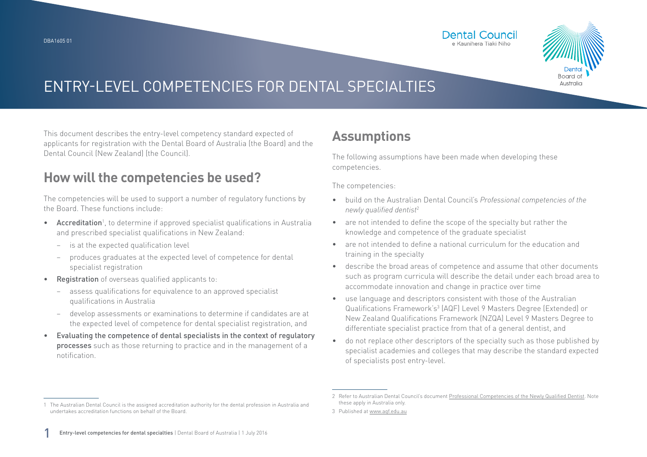

This document describes the entry-level competency standard expected of applicants for registration with the Dental Board of Australia (the Board) and the Dental Council (New Zealand) (the Council).

#### **How will the competencies be used?**

The competencies will be used to support a number of regulatory functions by the Board. These functions include:

- Accreditation<sup>1</sup>, to determine if approved specialist qualifications in Australia and prescribed specialist qualifications in New Zealand:
	- − is at the expected qualification level
	- − produces graduates at the expected level of competence for dental specialist registration
- Registration of overseas qualified applicants to:
	- assess qualifications for equivalence to an approved specialist qualifications in Australia
	- − develop assessments or examinations to determine if candidates are at the expected level of competence for dental specialist registration, and
- Evaluating the competence of dental specialists in the context of regulatory processes such as those returning to practice and in the management of a notification.

### **Assumptions**

The following assumptions have been made when developing these competencies.

The competencies:

- build on the Australian Dental Council's *Professional competencies of the newly qualified dentist*<sup>2</sup>
- are not intended to define the scope of the specialty but rather the knowledge and competence of the graduate specialist
- are not intended to define a national curriculum for the education and training in the specialty
- describe the broad areas of competence and assume that other documents such as program curricula will describe the detail under each broad area to accommodate innovation and change in practice over time
- use language and descriptors consistent with those of the Australian Qualifications Framework's<sup>3</sup> (AQF) Level 9 Masters Degree (Extended) or New Zealand Qualifications Framework (NZQA) Level 9 Masters Degree to differentiate specialist practice from that of a general dentist, and
- do not replace other descriptors of the specialty such as those published by specialist academies and colleges that may describe the standard expected of specialists post entry-level.

<sup>1</sup> The Australian Dental Council is the assigned accreditation authority for the dental profession in Australia and undertakes accreditation functions on behalf of the Board.

<sup>2</sup> Refer to Australian Dental Council's document [Professional Competencies of the Newly Qualified Dentist.](http://Professional Competencies of the Newly Qualified Dentist) Note these apply in Australia only.

<sup>3</sup> Published at [www.aqf.edu.au](http://www.aqf.edu.au)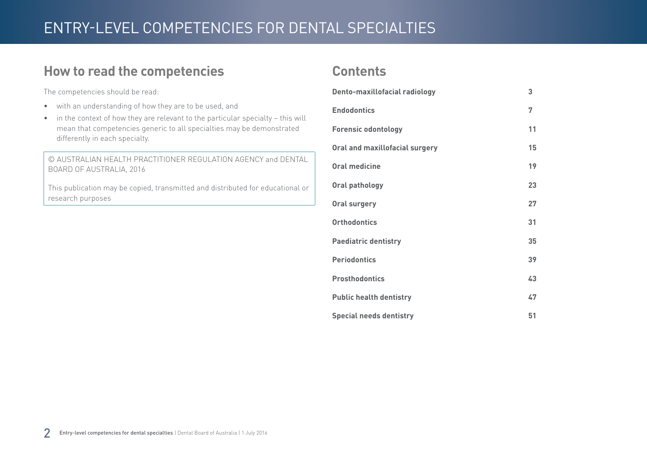#### **How to read the competencies**

The competencies should be read:

- with an understanding of how they are to be used, and
- in the context of how they are relevant to the particular specialty this will mean that competencies generic to all specialties may be demonstrated differently in each specialty.

© AUSTRALIAN HEALTH PRACTITIONER REGULATION AGENCY and DENTAL BOARD OF AUSTRALIA, 2016

This publication may be copied, transmitted and distributed for educational or research purposes

#### **Contents**

| Dento-maxillofacial radiology         | 3  |
|---------------------------------------|----|
| <b>Endodontics</b>                    | 7  |
| <b>Forensic odontology</b>            | 11 |
| <b>Oral and maxillofacial surgery</b> | 15 |
| <b>Oral medicine</b>                  | 19 |
| Oral pathology                        | 23 |
| <b>Oral surgery</b>                   | 27 |
| <b>Orthodontics</b>                   | 31 |
| <b>Paediatric dentistry</b>           | 35 |
| <b>Periodontics</b>                   | 39 |
| <b>Prosthodontics</b>                 | 43 |
| <b>Public health dentistry</b>        | 47 |
| <b>Special needs dentistry</b>        | 51 |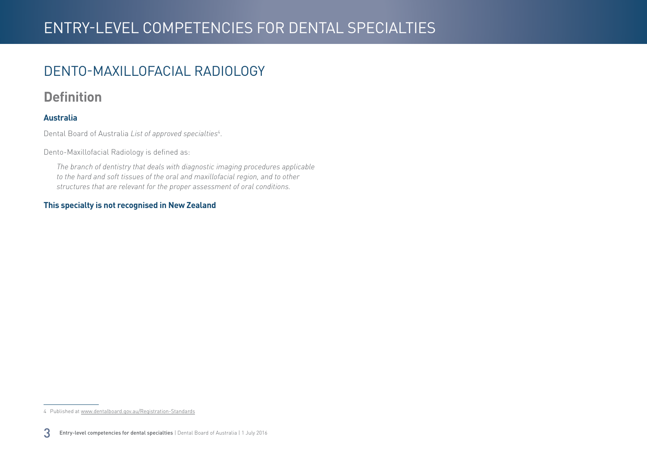### <span id="page-2-0"></span>DENTO-MAXILLOFACIAL RADIOLOGY

#### **Definition**

#### **Australia**

Dental Board of Australia *List of approved specialties*<sup>4</sup> .

Dento-Maxillofacial Radiology is defined as:

*The branch of dentistry that deals with diagnostic imaging procedures applicable to the hard and soft tissues of the oral and maxillofacial region, and to other structures that are relevant for the proper assessment of oral conditions.*

#### **This specialty is not recognised in New Zealand**

<sup>4</sup> Published at [www.dentalboard.gov.au/Registration-Standards](http://www.dentalboard.gov.au/Registration-Standards.aspx)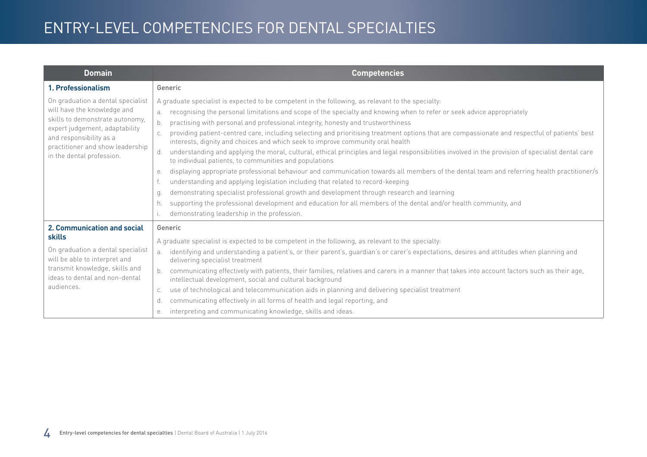| <b>Domain</b>                                                                                                                                                                                                                     | <b>Competencies</b>                                                                                                                                                                                                                                                                                                                                                                                                                                                                                                                                                                                                                                                                                                                                                                                                                                                                                                                                                                                                                                                                                                                                                                                                                                                                                                |
|-----------------------------------------------------------------------------------------------------------------------------------------------------------------------------------------------------------------------------------|--------------------------------------------------------------------------------------------------------------------------------------------------------------------------------------------------------------------------------------------------------------------------------------------------------------------------------------------------------------------------------------------------------------------------------------------------------------------------------------------------------------------------------------------------------------------------------------------------------------------------------------------------------------------------------------------------------------------------------------------------------------------------------------------------------------------------------------------------------------------------------------------------------------------------------------------------------------------------------------------------------------------------------------------------------------------------------------------------------------------------------------------------------------------------------------------------------------------------------------------------------------------------------------------------------------------|
| 1. Professionalism                                                                                                                                                                                                                | Generic                                                                                                                                                                                                                                                                                                                                                                                                                                                                                                                                                                                                                                                                                                                                                                                                                                                                                                                                                                                                                                                                                                                                                                                                                                                                                                            |
| On graduation a dental specialist<br>will have the knowledge and<br>skills to demonstrate autonomy,<br>expert judgement, adaptability<br>and responsibility as a<br>practitioner and show leadership<br>in the dental profession. | A graduate specialist is expected to be competent in the following, as relevant to the specialty:<br>recognising the personal limitations and scope of the specialty and knowing when to refer or seek advice appropriately<br>b.<br>practising with personal and professional integrity, honesty and trustworthiness<br>providing patient-centred care, including selecting and prioritising treatment options that are compassionate and respectful of patients' best<br>interests, dignity and choices and which seek to improve community oral health<br>understanding and applying the moral, cultural, ethical principles and legal responsibilities involved in the provision of specialist dental care<br>d.<br>to individual patients, to communities and populations<br>displaying appropriate professional behaviour and communication towards all members of the dental team and referring health practitioner/s<br>е.<br>understanding and applying legislation including that related to record-keeping<br>demonstrating specialist professional growth and development through research and learning<br>q.<br>supporting the professional development and education for all members of the dental and/or health community, and<br>h.<br>demonstrating leadership in the profession.<br>$\mathsf{L}$ |
| 2. Communication and social<br>skills<br>On graduation a dental specialist<br>will be able to interpret and<br>transmit knowledge, skills and<br>ideas to dental and non-dental<br>audiences.                                     | Generic<br>A graduate specialist is expected to be competent in the following, as relevant to the specialty:<br>identifying and understanding a patient's, or their parent's, guardian's or carer's expectations, desires and attitudes when planning and<br>a.<br>delivering specialist treatment<br>communicating effectively with patients, their families, relatives and carers in a manner that takes into account factors such as their age,<br>intellectual development, social and cultural background<br>use of technological and telecommunication aids in planning and delivering specialist treatment<br>C.<br>communicating effectively in all forms of health and legal reporting, and<br>d.<br>interpreting and communicating knowledge, skills and ideas.<br>е.                                                                                                                                                                                                                                                                                                                                                                                                                                                                                                                                    |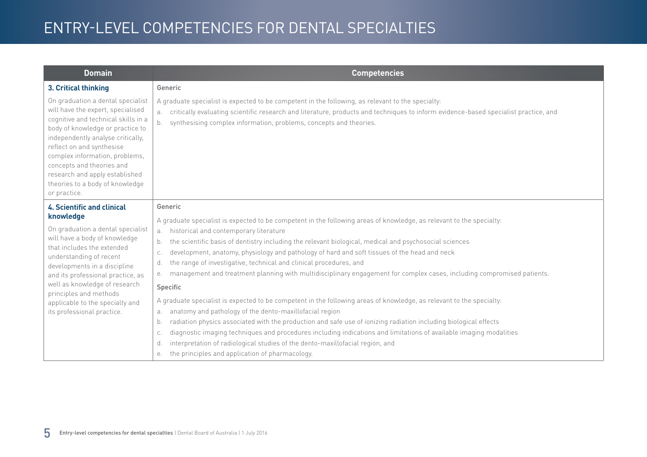| <b>Domain</b>                                                                                                                                                                                                                                                                                                                                                           | <b>Competencies</b>                                                                                                                                                                                                                                                                                                                    |
|-------------------------------------------------------------------------------------------------------------------------------------------------------------------------------------------------------------------------------------------------------------------------------------------------------------------------------------------------------------------------|----------------------------------------------------------------------------------------------------------------------------------------------------------------------------------------------------------------------------------------------------------------------------------------------------------------------------------------|
| 3. Critical thinking                                                                                                                                                                                                                                                                                                                                                    | Generic                                                                                                                                                                                                                                                                                                                                |
| On graduation a dental specialist<br>will have the expert, specialised<br>cognitive and technical skills in a<br>body of knowledge or practice to<br>independently analyse critically,<br>reflect on and synthesise<br>complex information, problems,<br>concepts and theories and<br>research and apply established<br>theories to a body of knowledge<br>or practice. | A graduate specialist is expected to be competent in the following, as relevant to the specialty:<br>critically evaluating scientific research and literature, products and techniques to inform evidence-based specialist practice, and<br>a.<br>synthesising complex information, problems, concepts and theories.<br>b <sub>1</sub> |
| <b>4. Scientific and clinical</b>                                                                                                                                                                                                                                                                                                                                       | Generic                                                                                                                                                                                                                                                                                                                                |
| knowledge                                                                                                                                                                                                                                                                                                                                                               | A graduate specialist is expected to be competent in the following areas of knowledge, as relevant to the specialty:                                                                                                                                                                                                                   |
| On graduation a dental specialist<br>will have a body of knowledge                                                                                                                                                                                                                                                                                                      | historical and contemporary literature<br>a.                                                                                                                                                                                                                                                                                           |
| that includes the extended                                                                                                                                                                                                                                                                                                                                              | the scientific basis of dentistry including the relevant biological, medical and psychosocial sciences<br>b.                                                                                                                                                                                                                           |
| understanding of recent                                                                                                                                                                                                                                                                                                                                                 | development, anatomy, physiology and pathology of hard and soft tissues of the head and neck<br>C.                                                                                                                                                                                                                                     |
| developments in a discipline                                                                                                                                                                                                                                                                                                                                            | the range of investigative, technical and clinical procedures, and<br>d.<br>management and treatment planning with multidisciplinary engagement for complex cases, including compromised patients.<br>е.                                                                                                                               |
| and its professional practice, as<br>well as knowledge of research                                                                                                                                                                                                                                                                                                      | Specific                                                                                                                                                                                                                                                                                                                               |
| principles and methods                                                                                                                                                                                                                                                                                                                                                  | A graduate specialist is expected to be competent in the following areas of knowledge, as relevant to the specialty:                                                                                                                                                                                                                   |
| applicable to the specialty and<br>its professional practice.                                                                                                                                                                                                                                                                                                           | anatomy and pathology of the dento-maxillofacial region<br>a.                                                                                                                                                                                                                                                                          |
|                                                                                                                                                                                                                                                                                                                                                                         | radiation physics associated with the production and safe use of ionizing radiation including biological effects<br>b.                                                                                                                                                                                                                 |
|                                                                                                                                                                                                                                                                                                                                                                         | diagnostic imaging techniques and procedures including indications and limitations of available imaging modalities<br>C.                                                                                                                                                                                                               |
|                                                                                                                                                                                                                                                                                                                                                                         | interpretation of radiological studies of the dento-maxillofacial region, and<br>d.                                                                                                                                                                                                                                                    |
|                                                                                                                                                                                                                                                                                                                                                                         | the principles and application of pharmacology.<br>е.                                                                                                                                                                                                                                                                                  |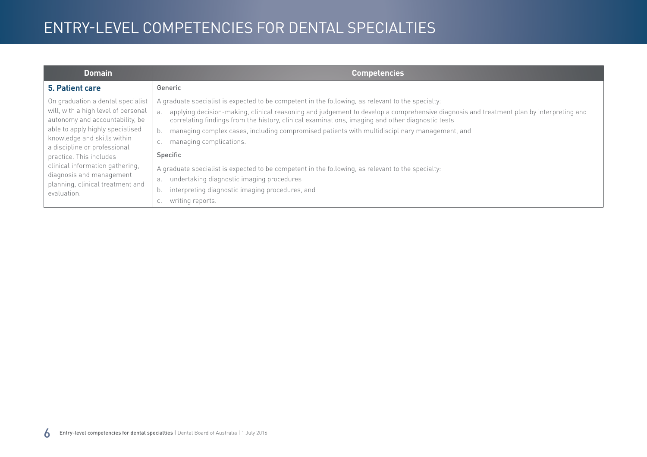| <b>Domain</b>                                                                                                                                                                                                                                                                                                                                               | <b>Competencies</b>                                                                                                                                                                                                                                                                                                                                                                                                                                                                                                                                                                                                                                                                                                                      |
|-------------------------------------------------------------------------------------------------------------------------------------------------------------------------------------------------------------------------------------------------------------------------------------------------------------------------------------------------------------|------------------------------------------------------------------------------------------------------------------------------------------------------------------------------------------------------------------------------------------------------------------------------------------------------------------------------------------------------------------------------------------------------------------------------------------------------------------------------------------------------------------------------------------------------------------------------------------------------------------------------------------------------------------------------------------------------------------------------------------|
| 5. Patient care                                                                                                                                                                                                                                                                                                                                             | Generic                                                                                                                                                                                                                                                                                                                                                                                                                                                                                                                                                                                                                                                                                                                                  |
| On graduation a dental specialist<br>will, with a high level of personal<br>autonomy and accountability, be<br>able to apply highly specialised<br>knowledge and skills within<br>a discipline or professional<br>practice. This includes<br>clinical information gathering,<br>diagnosis and management<br>planning, clinical treatment and<br>evaluation. | A graduate specialist is expected to be competent in the following, as relevant to the specialty:<br>applying decision-making, clinical reasoning and judgement to develop a comprehensive diagnosis and treatment plan by interpreting and<br>correlating findings from the history, clinical examinations, imaging and other diagnostic tests<br>managing complex cases, including compromised patients with multidisciplinary management, and<br>b.<br>managing complications.<br>C.<br>Specific<br>A graduate specialist is expected to be competent in the following, as relevant to the specialty:<br>undertaking diagnostic imaging procedures<br>а.<br>interpreting diagnostic imaging procedures, and<br>b.<br>writing reports. |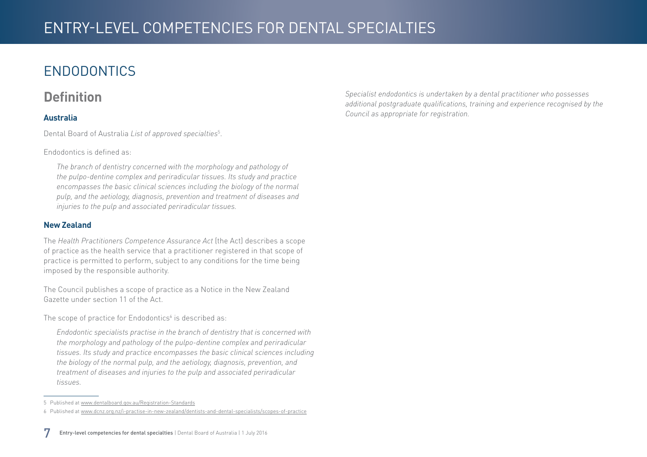## <span id="page-6-0"></span>ENDODONTICS

#### **Definition**

#### **Australia**

Dental Board of Australia *List of approved specialties*<sup>5</sup> .

Endodontics is defined as:

*The branch of dentistry concerned with the morphology and pathology of the pulpo-dentine complex and periradicular tissues. Its study and practice encompasses the basic clinical sciences including the biology of the normal pulp, and the aetiology, diagnosis, prevention and treatment of diseases and injuries to the pulp and associated periradicular tissues.*

#### **New Zealand**

The *Health Practitioners Competence Assurance Act* (the Act) describes a scope of practice as the health service that a practitioner registered in that scope of practice is permitted to perform, subject to any conditions for the time being imposed by the responsible authority.

The Council publishes a scope of practice as a Notice in the New Zealand Gazette under section 11 of the Act.

The scope of practice for Endodontics $\delta$  is described as:

*Endodontic specialists practise in the branch of dentistry that is concerned with the morphology and pathology of the pulpo-dentine complex and periradicular tissues. Its study and practice encompasses the basic clinical sciences including the biology of the normal pulp, and the aetiology, diagnosis, prevention, and treatment of diseases and injuries to the pulp and associated periradicular tissues.*

*Specialist endodontics is undertaken by a dental practitioner who possesses additional postgraduate qualifications, training and experience recognised by the Council as appropriate for registration.* 

<sup>5</sup> Published at [www.dentalboard.gov.au/Registration-Standards](http://www.dentalboard.gov.au/Registration-Standards.aspx)

<sup>6</sup> Published at [www.dcnz.org.nz/i-practise-in-new-zealand/dentists-and-dental-specialists/scopes-of-practice](http://www.dcnz.org.nz/i-practise-in-new-zealand/dentists-and-dental-specialists/scopes-of-practice)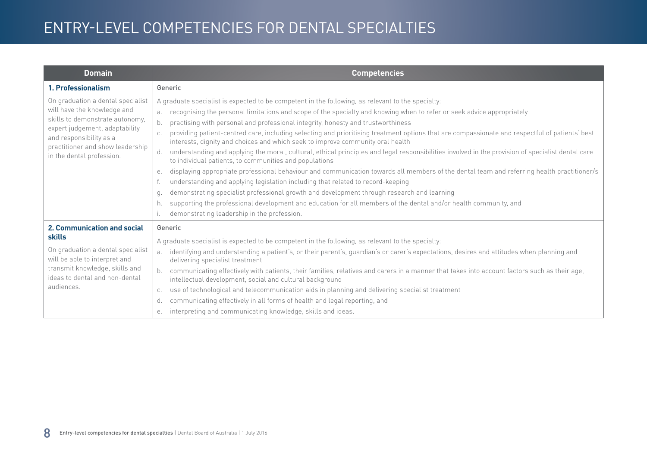| <b>Domain</b>                                                                                                                                                                                                                     | <b>Competencies</b>                                                                                                                                                                                                                                                                                                                                                                                                                                                                                                                                                                                                                                                                                                                                                                                                                                                                                                                                                                                                                                                                                                                                                                                                                                                                                                |
|-----------------------------------------------------------------------------------------------------------------------------------------------------------------------------------------------------------------------------------|--------------------------------------------------------------------------------------------------------------------------------------------------------------------------------------------------------------------------------------------------------------------------------------------------------------------------------------------------------------------------------------------------------------------------------------------------------------------------------------------------------------------------------------------------------------------------------------------------------------------------------------------------------------------------------------------------------------------------------------------------------------------------------------------------------------------------------------------------------------------------------------------------------------------------------------------------------------------------------------------------------------------------------------------------------------------------------------------------------------------------------------------------------------------------------------------------------------------------------------------------------------------------------------------------------------------|
| 1. Professionalism                                                                                                                                                                                                                | Generic                                                                                                                                                                                                                                                                                                                                                                                                                                                                                                                                                                                                                                                                                                                                                                                                                                                                                                                                                                                                                                                                                                                                                                                                                                                                                                            |
| On graduation a dental specialist<br>will have the knowledge and<br>skills to demonstrate autonomy,<br>expert judgement, adaptability<br>and responsibility as a<br>practitioner and show leadership<br>in the dental profession. | A graduate specialist is expected to be competent in the following, as relevant to the specialty:<br>recognising the personal limitations and scope of the specialty and knowing when to refer or seek advice appropriately<br>b.<br>practising with personal and professional integrity, honesty and trustworthiness<br>providing patient-centred care, including selecting and prioritising treatment options that are compassionate and respectful of patients' best<br>interests, dignity and choices and which seek to improve community oral health<br>understanding and applying the moral, cultural, ethical principles and legal responsibilities involved in the provision of specialist dental care<br>d.<br>to individual patients, to communities and populations<br>displaying appropriate professional behaviour and communication towards all members of the dental team and referring health practitioner/s<br>е.<br>understanding and applying legislation including that related to record-keeping<br>demonstrating specialist professional growth and development through research and learning<br>q.<br>supporting the professional development and education for all members of the dental and/or health community, and<br>h.<br>demonstrating leadership in the profession.<br>$\mathsf{L}$ |
| 2. Communication and social<br>skills<br>On graduation a dental specialist<br>will be able to interpret and<br>transmit knowledge, skills and<br>ideas to dental and non-dental<br>audiences.                                     | Generic<br>A graduate specialist is expected to be competent in the following, as relevant to the specialty:<br>identifying and understanding a patient's, or their parent's, guardian's or carer's expectations, desires and attitudes when planning and<br>a.<br>delivering specialist treatment<br>communicating effectively with patients, their families, relatives and carers in a manner that takes into account factors such as their age,<br>intellectual development, social and cultural background<br>use of technological and telecommunication aids in planning and delivering specialist treatment<br>C.<br>communicating effectively in all forms of health and legal reporting, and<br>d.<br>interpreting and communicating knowledge, skills and ideas.<br>е.                                                                                                                                                                                                                                                                                                                                                                                                                                                                                                                                    |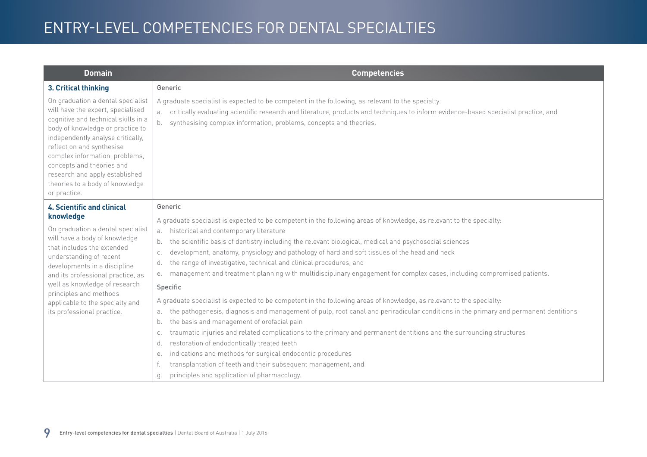| <b>Domain</b>                                                                                                                                                                                                                                                                                                                                                           | <b>Competencies</b>                                                                                                                                                                                                                                                                                                                                                                                                                                                                                                                                                                                                                                                                                                                                                                                                                                                                                                                                                                                                                                                                                                           |
|-------------------------------------------------------------------------------------------------------------------------------------------------------------------------------------------------------------------------------------------------------------------------------------------------------------------------------------------------------------------------|-------------------------------------------------------------------------------------------------------------------------------------------------------------------------------------------------------------------------------------------------------------------------------------------------------------------------------------------------------------------------------------------------------------------------------------------------------------------------------------------------------------------------------------------------------------------------------------------------------------------------------------------------------------------------------------------------------------------------------------------------------------------------------------------------------------------------------------------------------------------------------------------------------------------------------------------------------------------------------------------------------------------------------------------------------------------------------------------------------------------------------|
| 3. Critical thinking                                                                                                                                                                                                                                                                                                                                                    | Generic                                                                                                                                                                                                                                                                                                                                                                                                                                                                                                                                                                                                                                                                                                                                                                                                                                                                                                                                                                                                                                                                                                                       |
| On graduation a dental specialist<br>will have the expert, specialised<br>cognitive and technical skills in a<br>body of knowledge or practice to<br>independently analyse critically,<br>reflect on and synthesise<br>complex information, problems,<br>concepts and theories and<br>research and apply established<br>theories to a body of knowledge<br>or practice. | A graduate specialist is expected to be competent in the following, as relevant to the specialty:<br>critically evaluating scientific research and literature, products and techniques to inform evidence-based specialist practice, and<br>а.<br>synthesising complex information, problems, concepts and theories.<br>b.                                                                                                                                                                                                                                                                                                                                                                                                                                                                                                                                                                                                                                                                                                                                                                                                    |
| <b>4. Scientific and clinical</b>                                                                                                                                                                                                                                                                                                                                       | Generic                                                                                                                                                                                                                                                                                                                                                                                                                                                                                                                                                                                                                                                                                                                                                                                                                                                                                                                                                                                                                                                                                                                       |
| knowledge<br>On graduation a dental specialist<br>will have a body of knowledge<br>that includes the extended<br>understanding of recent<br>developments in a discipline<br>and its professional practice, as<br>well as knowledge of research<br>principles and methods<br>applicable to the specialty and<br>its professional practice.                               | A graduate specialist is expected to be competent in the following areas of knowledge, as relevant to the specialty:<br>historical and contemporary literature<br>a.<br>the scientific basis of dentistry including the relevant biological, medical and psychosocial sciences<br>b.<br>development, anatomy, physiology and pathology of hard and soft tissues of the head and neck<br>C.<br>the range of investigative, technical and clinical procedures, and<br>d.<br>management and treatment planning with multidisciplinary engagement for complex cases, including compromised patients.<br>е.<br>Specific<br>A graduate specialist is expected to be competent in the following areas of knowledge, as relevant to the specialty:<br>the pathogenesis, diagnosis and management of pulp, root canal and periradicular conditions in the primary and permanent dentitions<br>a.<br>the basis and management of orofacial pain<br>b.<br>traumatic injuries and related complications to the primary and permanent dentitions and the surrounding structures<br>C.<br>restoration of endodontically treated teeth<br>d. |
|                                                                                                                                                                                                                                                                                                                                                                         | indications and methods for surgical endodontic procedures<br>е.                                                                                                                                                                                                                                                                                                                                                                                                                                                                                                                                                                                                                                                                                                                                                                                                                                                                                                                                                                                                                                                              |
|                                                                                                                                                                                                                                                                                                                                                                         | transplantation of teeth and their subsequent management, and                                                                                                                                                                                                                                                                                                                                                                                                                                                                                                                                                                                                                                                                                                                                                                                                                                                                                                                                                                                                                                                                 |
|                                                                                                                                                                                                                                                                                                                                                                         | principles and application of pharmacology.<br>q.                                                                                                                                                                                                                                                                                                                                                                                                                                                                                                                                                                                                                                                                                                                                                                                                                                                                                                                                                                                                                                                                             |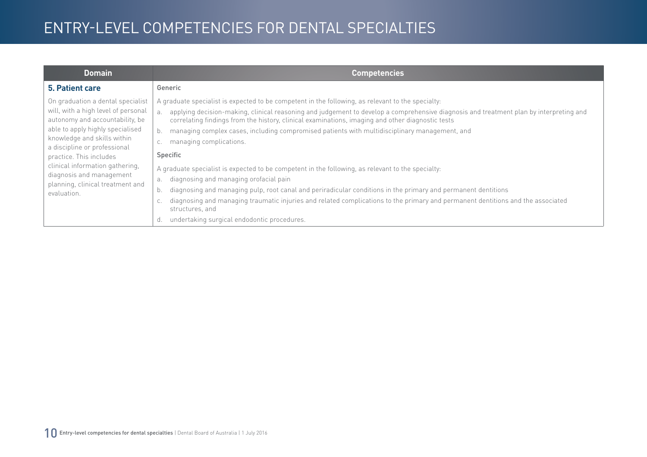| <b>Domain</b>                                                                                                                                                                                                                                                                                                                                               | <b>Competencies</b>                                                                                                                                                                                                                                                                                                                                                                                                                                                                                                                                                                                                                                                                                                                                                                                                                                                                                                                                                                  |
|-------------------------------------------------------------------------------------------------------------------------------------------------------------------------------------------------------------------------------------------------------------------------------------------------------------------------------------------------------------|--------------------------------------------------------------------------------------------------------------------------------------------------------------------------------------------------------------------------------------------------------------------------------------------------------------------------------------------------------------------------------------------------------------------------------------------------------------------------------------------------------------------------------------------------------------------------------------------------------------------------------------------------------------------------------------------------------------------------------------------------------------------------------------------------------------------------------------------------------------------------------------------------------------------------------------------------------------------------------------|
| 5. Patient care                                                                                                                                                                                                                                                                                                                                             | Generic                                                                                                                                                                                                                                                                                                                                                                                                                                                                                                                                                                                                                                                                                                                                                                                                                                                                                                                                                                              |
| On graduation a dental specialist<br>will, with a high level of personal<br>autonomy and accountability, be<br>able to apply highly specialised<br>knowledge and skills within<br>a discipline or professional<br>practice. This includes<br>clinical information gathering,<br>diagnosis and management<br>planning, clinical treatment and<br>evaluation. | A graduate specialist is expected to be competent in the following, as relevant to the specialty:<br>applying decision-making, clinical reasoning and judgement to develop a comprehensive diagnosis and treatment plan by interpreting and<br>correlating findings from the history, clinical examinations, imaging and other diagnostic tests<br>managing complex cases, including compromised patients with multidisciplinary management, and<br>managing complications.<br>С.<br>Specific<br>A graduate specialist is expected to be competent in the following, as relevant to the specialty:<br>diagnosing and managing orofacial pain<br>a.<br>diagnosing and managing pulp, root canal and periradicular conditions in the primary and permanent dentitions<br>b.<br>diagnosing and managing traumatic injuries and related complications to the primary and permanent dentitions and the associated<br>structures, and<br>undertaking surgical endodontic procedures.<br>d. |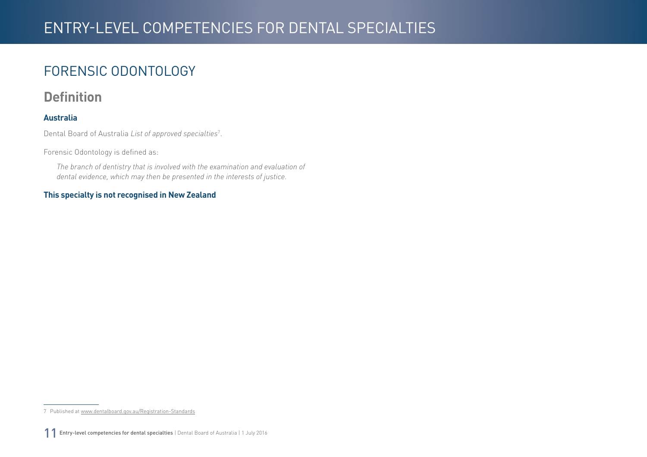### <span id="page-10-0"></span>FORENSIC ODONTOLOGY

#### **Definition**

#### **Australia**

Dental Board of Australia *List of approved specialties*<sup>7</sup> .

Forensic Odontology is defined as:

*The branch of dentistry that is involved with the examination and evaluation of dental evidence, which may then be presented in the interests of justice.*

#### **This specialty is not recognised in New Zealand**

<sup>7</sup> Published at [www.dentalboard.gov.au/Registration-Standards](http://www.dentalboard.gov.au/Registration-Standards.aspx)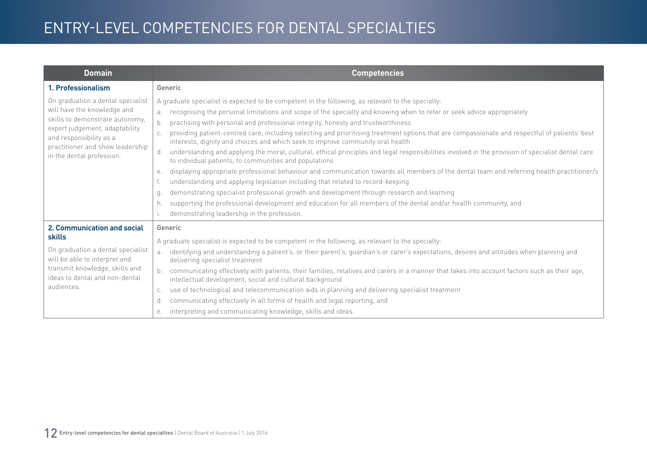| <b>Domain</b>                                                                                                                                                                                                                     | <b>Competencies</b>                                                                                                                                                                                                                                                                                                                                                                                                                                                                                                                                                                                                                                                                                                                                                                                                                                                                                                                                                                                                                                                                                                                                                                                                                                                                                                |
|-----------------------------------------------------------------------------------------------------------------------------------------------------------------------------------------------------------------------------------|--------------------------------------------------------------------------------------------------------------------------------------------------------------------------------------------------------------------------------------------------------------------------------------------------------------------------------------------------------------------------------------------------------------------------------------------------------------------------------------------------------------------------------------------------------------------------------------------------------------------------------------------------------------------------------------------------------------------------------------------------------------------------------------------------------------------------------------------------------------------------------------------------------------------------------------------------------------------------------------------------------------------------------------------------------------------------------------------------------------------------------------------------------------------------------------------------------------------------------------------------------------------------------------------------------------------|
| 1. Professionalism                                                                                                                                                                                                                | Generic                                                                                                                                                                                                                                                                                                                                                                                                                                                                                                                                                                                                                                                                                                                                                                                                                                                                                                                                                                                                                                                                                                                                                                                                                                                                                                            |
| On graduation a dental specialist<br>will have the knowledge and<br>skills to demonstrate autonomy,<br>expert judgement, adaptability<br>and responsibility as a<br>practitioner and show leadership<br>in the dental profession. | A graduate specialist is expected to be competent in the following, as relevant to the specialty:<br>recognising the personal limitations and scope of the specialty and knowing when to refer or seek advice appropriately<br>b.<br>practising with personal and professional integrity, honesty and trustworthiness<br>providing patient-centred care, including selecting and prioritising treatment options that are compassionate and respectful of patients' best<br>interests, dignity and choices and which seek to improve community oral health<br>understanding and applying the moral, cultural, ethical principles and legal responsibilities involved in the provision of specialist dental care<br>d.<br>to individual patients, to communities and populations<br>displaying appropriate professional behaviour and communication towards all members of the dental team and referring health practitioner/s<br>е.<br>understanding and applying legislation including that related to record-keeping<br>demonstrating specialist professional growth and development through research and learning<br>q.<br>supporting the professional development and education for all members of the dental and/or health community, and<br>h.<br>demonstrating leadership in the profession.<br>$\mathsf{L}$ |
| 2. Communication and social<br>skills<br>On graduation a dental specialist<br>will be able to interpret and<br>transmit knowledge, skills and<br>ideas to dental and non-dental<br>audiences.                                     | Generic<br>A graduate specialist is expected to be competent in the following, as relevant to the specialty:<br>identifying and understanding a patient's, or their parent's, guardian's or carer's expectations, desires and attitudes when planning and<br>a.<br>delivering specialist treatment<br>communicating effectively with patients, their families, relatives and carers in a manner that takes into account factors such as their age,<br>intellectual development, social and cultural background<br>use of technological and telecommunication aids in planning and delivering specialist treatment<br>C.<br>communicating effectively in all forms of health and legal reporting, and<br>d.<br>interpreting and communicating knowledge, skills and ideas.<br>е.                                                                                                                                                                                                                                                                                                                                                                                                                                                                                                                                    |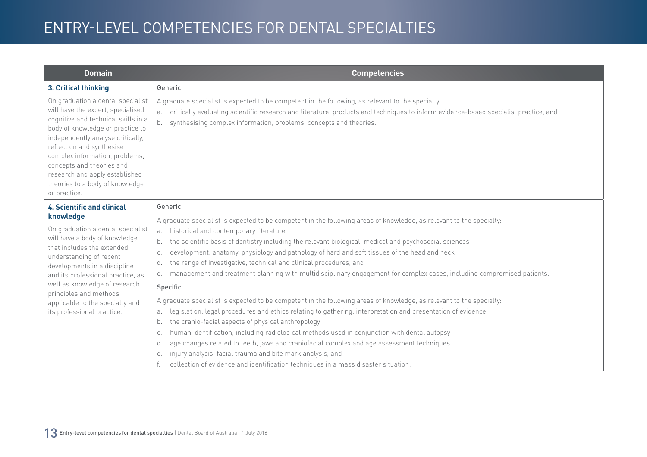| <b>Domain</b>                                                                                                                                                                                                                                                                                                                                                           | <b>Competencies</b>                                                                                                                                                                                                                                                                                                        |
|-------------------------------------------------------------------------------------------------------------------------------------------------------------------------------------------------------------------------------------------------------------------------------------------------------------------------------------------------------------------------|----------------------------------------------------------------------------------------------------------------------------------------------------------------------------------------------------------------------------------------------------------------------------------------------------------------------------|
| 3. Critical thinking                                                                                                                                                                                                                                                                                                                                                    | Generic                                                                                                                                                                                                                                                                                                                    |
| On graduation a dental specialist<br>will have the expert, specialised<br>cognitive and technical skills in a<br>body of knowledge or practice to<br>independently analyse critically,<br>reflect on and synthesise<br>complex information, problems,<br>concepts and theories and<br>research and apply established<br>theories to a body of knowledge<br>or practice. | A graduate specialist is expected to be competent in the following, as relevant to the specialty:<br>critically evaluating scientific research and literature, products and techniques to inform evidence-based specialist practice, and<br>а.<br>synthesising complex information, problems, concepts and theories.<br>b. |
| <b>4. Scientific and clinical</b>                                                                                                                                                                                                                                                                                                                                       | Generic                                                                                                                                                                                                                                                                                                                    |
| knowledge                                                                                                                                                                                                                                                                                                                                                               | A graduate specialist is expected to be competent in the following areas of knowledge, as relevant to the specialty:                                                                                                                                                                                                       |
| On graduation a dental specialist<br>will have a body of knowledge                                                                                                                                                                                                                                                                                                      | historical and contemporary literature<br>a.<br>the scientific basis of dentistry including the relevant biological, medical and psychosocial sciences<br>b.                                                                                                                                                               |
| that includes the extended                                                                                                                                                                                                                                                                                                                                              | development, anatomy, physiology and pathology of hard and soft tissues of the head and neck<br>C.                                                                                                                                                                                                                         |
| understanding of recent                                                                                                                                                                                                                                                                                                                                                 | the range of investigative, technical and clinical procedures, and<br>d.                                                                                                                                                                                                                                                   |
| developments in a discipline<br>and its professional practice, as                                                                                                                                                                                                                                                                                                       | management and treatment planning with multidisciplinary engagement for complex cases, including compromised patients.<br>е.                                                                                                                                                                                               |
| well as knowledge of research                                                                                                                                                                                                                                                                                                                                           | Specific                                                                                                                                                                                                                                                                                                                   |
| principles and methods<br>applicable to the specialty and                                                                                                                                                                                                                                                                                                               | A graduate specialist is expected to be competent in the following areas of knowledge, as relevant to the specialty:                                                                                                                                                                                                       |
| its professional practice.                                                                                                                                                                                                                                                                                                                                              | legislation, legal procedures and ethics relating to gathering, interpretation and presentation of evidence<br>а.                                                                                                                                                                                                          |
|                                                                                                                                                                                                                                                                                                                                                                         | the cranio-facial aspects of physical anthropology<br>b.                                                                                                                                                                                                                                                                   |
|                                                                                                                                                                                                                                                                                                                                                                         | human identification, including radiological methods used in conjunction with dental autopsy<br>C.                                                                                                                                                                                                                         |
|                                                                                                                                                                                                                                                                                                                                                                         | age changes related to teeth, jaws and craniofacial complex and age assessment techniques<br>d.                                                                                                                                                                                                                            |
|                                                                                                                                                                                                                                                                                                                                                                         | injury analysis; facial trauma and bite mark analysis, and<br>е.                                                                                                                                                                                                                                                           |
|                                                                                                                                                                                                                                                                                                                                                                         | collection of evidence and identification techniques in a mass disaster situation.                                                                                                                                                                                                                                         |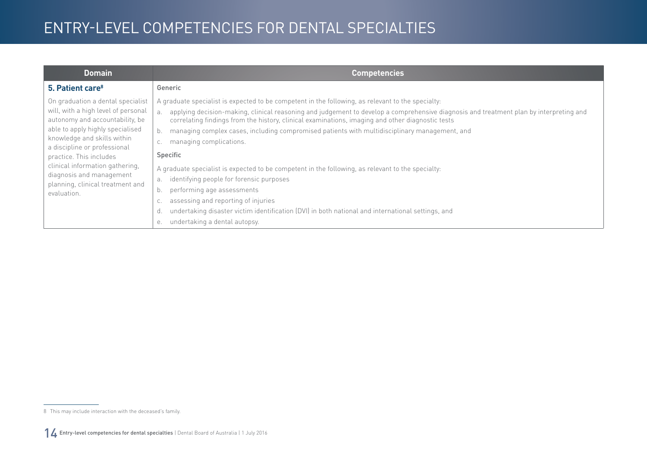| <b>Domain</b>                                                                                                                                                                                                                                                                                                                                               | <b>Competencies</b>                                                                                                                                                                                                                                                                                                                                                                                                                                                                                                                                                                                                                                                                                                                                                                                                                                                                       |
|-------------------------------------------------------------------------------------------------------------------------------------------------------------------------------------------------------------------------------------------------------------------------------------------------------------------------------------------------------------|-------------------------------------------------------------------------------------------------------------------------------------------------------------------------------------------------------------------------------------------------------------------------------------------------------------------------------------------------------------------------------------------------------------------------------------------------------------------------------------------------------------------------------------------------------------------------------------------------------------------------------------------------------------------------------------------------------------------------------------------------------------------------------------------------------------------------------------------------------------------------------------------|
| 5. Patient care <sup>8</sup>                                                                                                                                                                                                                                                                                                                                | Generic                                                                                                                                                                                                                                                                                                                                                                                                                                                                                                                                                                                                                                                                                                                                                                                                                                                                                   |
| On graduation a dental specialist<br>will, with a high level of personal<br>autonomy and accountability, be<br>able to apply highly specialised<br>knowledge and skills within<br>a discipline or professional<br>practice. This includes<br>clinical information gathering,<br>diagnosis and management<br>planning, clinical treatment and<br>evaluation. | A graduate specialist is expected to be competent in the following, as relevant to the specialty:<br>applying decision-making, clinical reasoning and judgement to develop a comprehensive diagnosis and treatment plan by interpreting and<br>$\overline{a}$ .<br>correlating findings from the history, clinical examinations, imaging and other diagnostic tests<br>managing complex cases, including compromised patients with multidisciplinary management, and<br>managing complications.<br>Specific<br>A graduate specialist is expected to be competent in the following, as relevant to the specialty:<br>identifying people for forensic purposes<br>а.<br>performing age assessments<br>b.<br>assessing and reporting of injuries<br>undertaking disaster victim identification (DVI) in both national and international settings, and<br>undertaking a dental autopsy.<br>е. |

<sup>8</sup> This may include interaction with the deceased's family.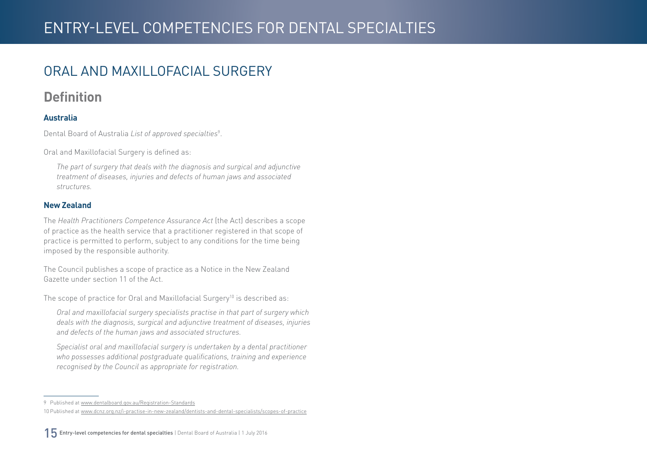#### <span id="page-14-0"></span>ORAL AND MAXILLOFACIAL SURGERY

#### **Definition**

#### **Australia**

Dental Board of Australia *List of approved specialties*<sup>9</sup> .

Oral and Maxillofacial Surgery is defined as:

*The part of surgery that deals with the diagnosis and surgical and adjunctive treatment of diseases, injuries and defects of human jaws and associated structures.*

#### **New Zealand**

The *Health Practitioners Competence Assurance Act* (the Act) describes a scope of practice as the health service that a practitioner registered in that scope of practice is permitted to perform, subject to any conditions for the time being imposed by the responsible authority.

The Council publishes a scope of practice as a Notice in the New Zealand Gazette under section 11 of the Act.

The scope of practice for Oral and Maxillofacial Surgery<sup>10</sup> is described as:

*Oral and maxillofacial surgery specialists practise in that part of surgery which deals with the diagnosis, surgical and adjunctive treatment of diseases, injuries and defects of the human jaws and associated structures.*

*Specialist oral and maxillofacial surgery is undertaken by a dental practitioner who possesses additional postgraduate qualifications, training and experience recognised by the Council as appropriate for registration.*

<sup>9</sup> Published at [www.dentalboard.gov.au/Registration-Standards](http://www.dentalboard.gov.au/Registration-Standards.aspx)

<sup>10</sup> Published at [www.dcnz.org.nz/i-practise-in-new-zealand/dentists-and-dental-specialists/scopes-of-practice](http://www.dcnz.org.nz/i-practise-in-new-zealand/dentists-and-dental-specialists/scopes-of-practice)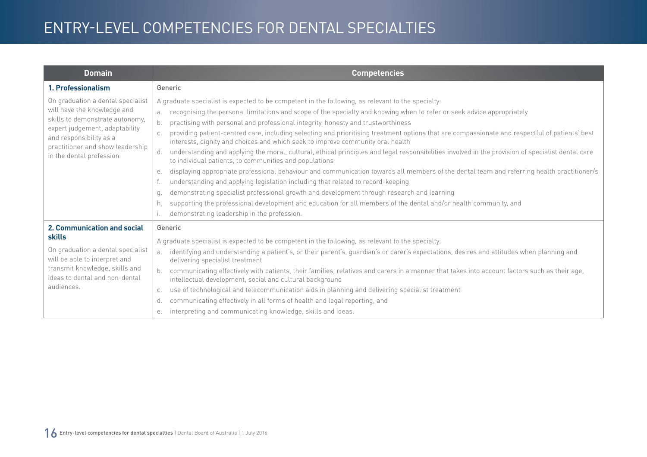| <b>Domain</b>                                                                                                                                                                                                                     | <b>Competencies</b>                                                                                                                                                                                                                                                                                                                                                                                                                                                                                                                                                                                                                                                                                                                                                                                                                                                                                                                                                                                                                                                                                                                                                                                                                                                                                |
|-----------------------------------------------------------------------------------------------------------------------------------------------------------------------------------------------------------------------------------|----------------------------------------------------------------------------------------------------------------------------------------------------------------------------------------------------------------------------------------------------------------------------------------------------------------------------------------------------------------------------------------------------------------------------------------------------------------------------------------------------------------------------------------------------------------------------------------------------------------------------------------------------------------------------------------------------------------------------------------------------------------------------------------------------------------------------------------------------------------------------------------------------------------------------------------------------------------------------------------------------------------------------------------------------------------------------------------------------------------------------------------------------------------------------------------------------------------------------------------------------------------------------------------------------|
| 1. Professionalism                                                                                                                                                                                                                | Generic                                                                                                                                                                                                                                                                                                                                                                                                                                                                                                                                                                                                                                                                                                                                                                                                                                                                                                                                                                                                                                                                                                                                                                                                                                                                                            |
| On graduation a dental specialist<br>will have the knowledge and<br>skills to demonstrate autonomy,<br>expert judgement, adaptability<br>and responsibility as a<br>practitioner and show leadership<br>in the dental profession. | A graduate specialist is expected to be competent in the following, as relevant to the specialty:<br>recognising the personal limitations and scope of the specialty and knowing when to refer or seek advice appropriately<br>b.<br>practising with personal and professional integrity, honesty and trustworthiness<br>providing patient-centred care, including selecting and prioritising treatment options that are compassionate and respectful of patients' best<br>interests, dignity and choices and which seek to improve community oral health<br>understanding and applying the moral, cultural, ethical principles and legal responsibilities involved in the provision of specialist dental care<br>d.<br>to individual patients, to communities and populations<br>displaying appropriate professional behaviour and communication towards all members of the dental team and referring health practitioner/s<br>е.<br>understanding and applying legislation including that related to record-keeping<br>demonstrating specialist professional growth and development through research and learning<br>q.<br>supporting the professional development and education for all members of the dental and/or health community, and<br>h.<br>demonstrating leadership in the profession. |
| 2. Communication and social<br>skills<br>On graduation a dental specialist<br>will be able to interpret and<br>transmit knowledge, skills and<br>ideas to dental and non-dental<br>audiences.                                     | Generic<br>A graduate specialist is expected to be competent in the following, as relevant to the specialty:<br>identifying and understanding a patient's, or their parent's, guardian's or carer's expectations, desires and attitudes when planning and<br>a <sub>z</sub><br>delivering specialist treatment<br>communicating effectively with patients, their families, relatives and carers in a manner that takes into account factors such as their age,<br>intellectual development, social and cultural background<br>use of technological and telecommunication aids in planning and delivering specialist treatment<br>C.<br>communicating effectively in all forms of health and legal reporting, and<br>d.<br>interpreting and communicating knowledge, skills and ideas.<br>е.                                                                                                                                                                                                                                                                                                                                                                                                                                                                                                        |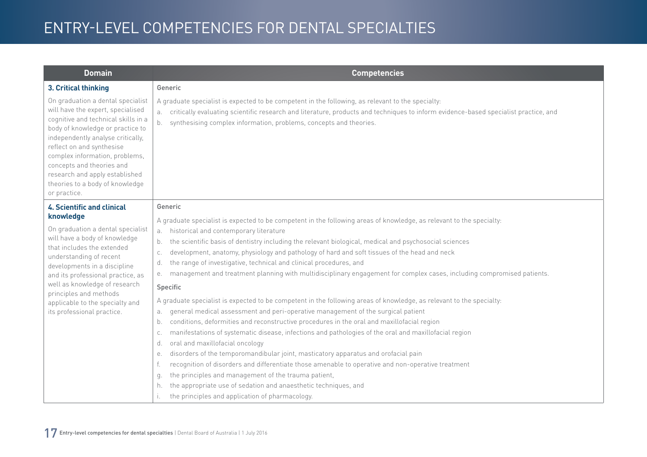| <b>Domain</b>                                                                                                                                                                                                                                                                                                                                                           | <b>Competencies</b>                                                                                                                                                                                                                                                                                                                                                                                                                                                                                                                                                                                                                                                                                                                                                                                                                                                                                                                                                                                                                                                                                                                                                                                                                                                                                                                                                                                                                                                                          |
|-------------------------------------------------------------------------------------------------------------------------------------------------------------------------------------------------------------------------------------------------------------------------------------------------------------------------------------------------------------------------|----------------------------------------------------------------------------------------------------------------------------------------------------------------------------------------------------------------------------------------------------------------------------------------------------------------------------------------------------------------------------------------------------------------------------------------------------------------------------------------------------------------------------------------------------------------------------------------------------------------------------------------------------------------------------------------------------------------------------------------------------------------------------------------------------------------------------------------------------------------------------------------------------------------------------------------------------------------------------------------------------------------------------------------------------------------------------------------------------------------------------------------------------------------------------------------------------------------------------------------------------------------------------------------------------------------------------------------------------------------------------------------------------------------------------------------------------------------------------------------------|
| 3. Critical thinking                                                                                                                                                                                                                                                                                                                                                    | Generic                                                                                                                                                                                                                                                                                                                                                                                                                                                                                                                                                                                                                                                                                                                                                                                                                                                                                                                                                                                                                                                                                                                                                                                                                                                                                                                                                                                                                                                                                      |
| On graduation a dental specialist<br>will have the expert, specialised<br>cognitive and technical skills in a<br>body of knowledge or practice to<br>independently analyse critically,<br>reflect on and synthesise<br>complex information, problems,<br>concepts and theories and<br>research and apply established<br>theories to a body of knowledge<br>or practice. | A graduate specialist is expected to be competent in the following, as relevant to the specialty:<br>critically evaluating scientific research and literature, products and techniques to inform evidence-based specialist practice, and<br>synthesising complex information, problems, concepts and theories.<br>b.                                                                                                                                                                                                                                                                                                                                                                                                                                                                                                                                                                                                                                                                                                                                                                                                                                                                                                                                                                                                                                                                                                                                                                         |
| <b>4. Scientific and clinical</b>                                                                                                                                                                                                                                                                                                                                       | Generic                                                                                                                                                                                                                                                                                                                                                                                                                                                                                                                                                                                                                                                                                                                                                                                                                                                                                                                                                                                                                                                                                                                                                                                                                                                                                                                                                                                                                                                                                      |
| knowledge<br>On graduation a dental specialist<br>will have a body of knowledge<br>that includes the extended<br>understanding of recent<br>developments in a discipline<br>and its professional practice, as<br>well as knowledge of research<br>principles and methods<br>applicable to the specialty and<br>its professional practice.                               | A graduate specialist is expected to be competent in the following areas of knowledge, as relevant to the specialty:<br>historical and contemporary literature<br>a.<br>the scientific basis of dentistry including the relevant biological, medical and psychosocial sciences<br>b.<br>development, anatomy, physiology and pathology of hard and soft tissues of the head and neck<br>C.<br>the range of investigative, technical and clinical procedures, and<br>d.<br>management and treatment planning with multidisciplinary engagement for complex cases, including compromised patients.<br>е.<br>Specific<br>A graduate specialist is expected to be competent in the following areas of knowledge, as relevant to the specialty:<br>general medical assessment and peri-operative management of the surgical patient<br>a.<br>conditions, deformities and reconstructive procedures in the oral and maxillofacial region<br>b.<br>manifestations of systematic disease, infections and pathologies of the oral and maxillofacial region<br>C.<br>oral and maxillofacial oncology<br>d.<br>disorders of the temporomandibular joint, masticatory apparatus and orofacial pain<br>е.<br>recognition of disorders and differentiate those amenable to operative and non-operative treatment<br>the principles and management of the trauma patient,<br>g.<br>the appropriate use of sedation and anaesthetic techniques, and<br>h.<br>the principles and application of pharmacology. |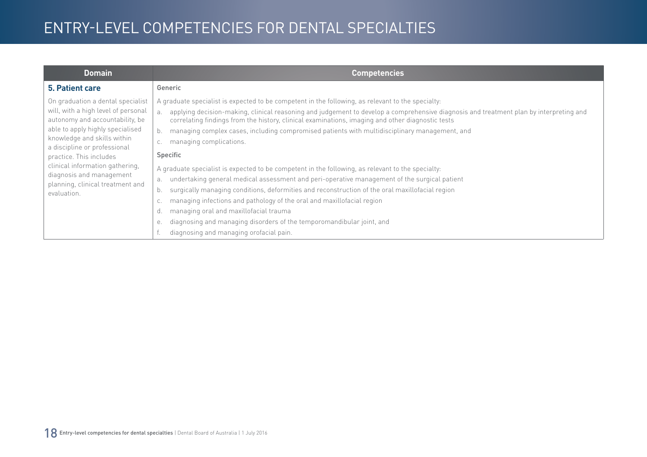| <b>Domain</b>                                                                                                                                                                                                                                                                                                                                               | <b>Competencies</b>                                                                                                                                                                                                                                                                                                                                                                                                                                                                                                                                                                                                                                                                                                                                                                                                                                                                                                                                                                                                                                                         |
|-------------------------------------------------------------------------------------------------------------------------------------------------------------------------------------------------------------------------------------------------------------------------------------------------------------------------------------------------------------|-----------------------------------------------------------------------------------------------------------------------------------------------------------------------------------------------------------------------------------------------------------------------------------------------------------------------------------------------------------------------------------------------------------------------------------------------------------------------------------------------------------------------------------------------------------------------------------------------------------------------------------------------------------------------------------------------------------------------------------------------------------------------------------------------------------------------------------------------------------------------------------------------------------------------------------------------------------------------------------------------------------------------------------------------------------------------------|
| 5. Patient care                                                                                                                                                                                                                                                                                                                                             | Generic                                                                                                                                                                                                                                                                                                                                                                                                                                                                                                                                                                                                                                                                                                                                                                                                                                                                                                                                                                                                                                                                     |
| On graduation a dental specialist<br>will, with a high level of personal<br>autonomy and accountability, be<br>able to apply highly specialised<br>knowledge and skills within<br>a discipline or professional<br>practice. This includes<br>clinical information gathering,<br>diagnosis and management<br>planning, clinical treatment and<br>evaluation. | A graduate specialist is expected to be competent in the following, as relevant to the specialty:<br>applying decision-making, clinical reasoning and judgement to develop a comprehensive diagnosis and treatment plan by interpreting and<br>a.<br>correlating findings from the history, clinical examinations, imaging and other diagnostic tests<br>managing complex cases, including compromised patients with multidisciplinary management, and<br>b.<br>managing complications.<br>Specific<br>A graduate specialist is expected to be competent in the following, as relevant to the specialty:<br>undertaking general medical assessment and peri-operative management of the surgical patient<br>a.<br>surgically managing conditions, deformities and reconstruction of the oral maxillofacial region<br>b.<br>managing infections and pathology of the oral and maxillofacial region<br>managing oral and maxillofacial trauma<br>d.<br>diagnosing and managing disorders of the temporomandibular joint, and<br>е.<br>diagnosing and managing orofacial pain. |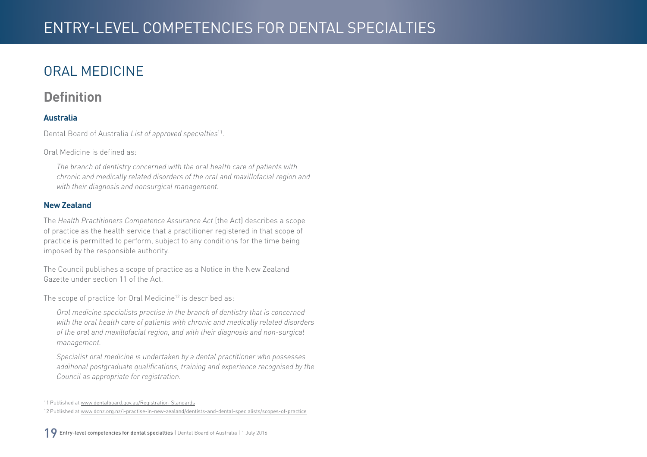## <span id="page-18-0"></span>ORAL MEDICINE

#### **Definition**

#### **Australia**

Dental Board of Australia *List of approved specialties*11.

Oral Medicine is defined as:

*The branch of dentistry concerned with the oral health care of patients with chronic and medically related disorders of the oral and maxillofacial region and with their diagnosis and nonsurgical management.*

#### **New Zealand**

The *Health Practitioners Competence Assurance Act* (the Act) describes a scope of practice as the health service that a practitioner registered in that scope of practice is permitted to perform, subject to any conditions for the time being imposed by the responsible authority.

The Council publishes a scope of practice as a Notice in the New Zealand Gazette under section 11 of the Act.

The scope of practice for Oral Medicine<sup>12</sup> is described as:

*Oral medicine specialists practise in the branch of dentistry that is concerned with the oral health care of patients with chronic and medically related disorders of the oral and maxillofacial region, and with their diagnosis and non-surgical management.*

*Specialist oral medicine is undertaken by a dental practitioner who possesses additional postgraduate qualifications, training and experience recognised by the Council as appropriate for registration.*

<sup>11</sup> Published at www.dentalboard.gov.au/Registration-Standards

<sup>12</sup> Published at www.dcnz.org.nz/i-practise-in-new-zealand/dentists-and-dental-specialists/scopes-of-practice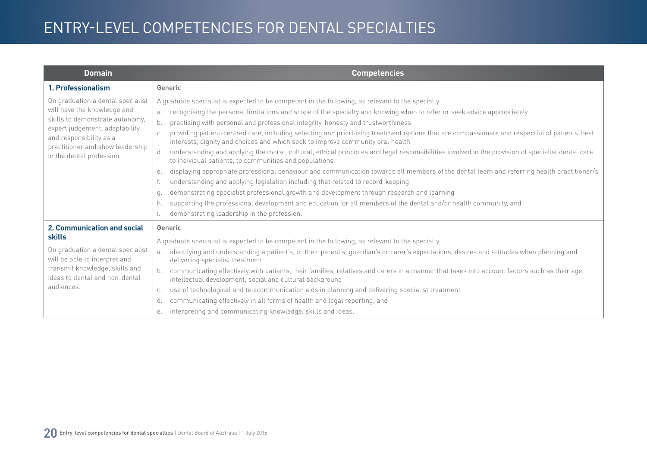| <b>Domain</b>                                                                                                                                                                                                                     | <b>Competencies</b>                                                                                                                                                                                                                                                                                                                                                                                                                                                                                                                                                                                                                                                                                                                                                                                                                                                                                                                                                                                                                                                                                                                                                                                                                                                                                                |
|-----------------------------------------------------------------------------------------------------------------------------------------------------------------------------------------------------------------------------------|--------------------------------------------------------------------------------------------------------------------------------------------------------------------------------------------------------------------------------------------------------------------------------------------------------------------------------------------------------------------------------------------------------------------------------------------------------------------------------------------------------------------------------------------------------------------------------------------------------------------------------------------------------------------------------------------------------------------------------------------------------------------------------------------------------------------------------------------------------------------------------------------------------------------------------------------------------------------------------------------------------------------------------------------------------------------------------------------------------------------------------------------------------------------------------------------------------------------------------------------------------------------------------------------------------------------|
| 1. Professionalism                                                                                                                                                                                                                | Generic                                                                                                                                                                                                                                                                                                                                                                                                                                                                                                                                                                                                                                                                                                                                                                                                                                                                                                                                                                                                                                                                                                                                                                                                                                                                                                            |
| On graduation a dental specialist<br>will have the knowledge and<br>skills to demonstrate autonomy,<br>expert judgement, adaptability<br>and responsibility as a<br>practitioner and show leadership<br>in the dental profession. | A graduate specialist is expected to be competent in the following, as relevant to the specialty:<br>recognising the personal limitations and scope of the specialty and knowing when to refer or seek advice appropriately<br>practising with personal and professional integrity, honesty and trustworthiness<br>b.<br>providing patient-centred care, including selecting and prioritising treatment options that are compassionate and respectful of patients' best<br>interests, dignity and choices and which seek to improve community oral health<br>understanding and applying the moral, cultural, ethical principles and legal responsibilities involved in the provision of specialist dental care<br>d.<br>to individual patients, to communities and populations<br>displaying appropriate professional behaviour and communication towards all members of the dental team and referring health practitioner/s<br>е.<br>understanding and applying legislation including that related to record-keeping<br>demonstrating specialist professional growth and development through research and learning<br>q.<br>supporting the professional development and education for all members of the dental and/or health community, and<br>h.<br>demonstrating leadership in the profession.<br>$\mathsf{L}$ |
| 2. Communication and social<br><b>skills</b><br>On graduation a dental specialist<br>will be able to interpret and<br>transmit knowledge, skills and<br>ideas to dental and non-dental<br>audiences.                              | Generic<br>A graduate specialist is expected to be competent in the following, as relevant to the specialty:<br>identifying and understanding a patient's, or their parent's, guardian's or carer's expectations, desires and attitudes when planning and<br>a <sub>z</sub><br>delivering specialist treatment<br>communicating effectively with patients, their families, relatives and carers in a manner that takes into account factors such as their age,<br>intellectual development, social and cultural background<br>use of technological and telecommunication aids in planning and delivering specialist treatment<br>C.<br>communicating effectively in all forms of health and legal reporting, and<br>d.<br>interpreting and communicating knowledge, skills and ideas.<br>е.                                                                                                                                                                                                                                                                                                                                                                                                                                                                                                                        |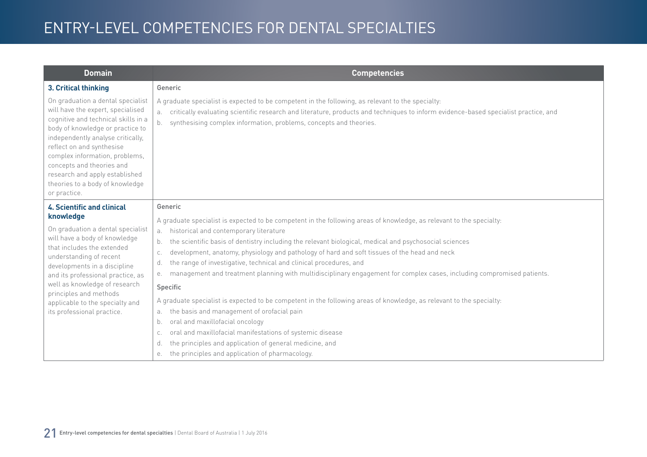| <b>Domain</b>                                                                                                                                                                                                                                                                                                                                                                  | <b>Competencies</b>                                                                                                                                                                                                                                                                                                              |
|--------------------------------------------------------------------------------------------------------------------------------------------------------------------------------------------------------------------------------------------------------------------------------------------------------------------------------------------------------------------------------|----------------------------------------------------------------------------------------------------------------------------------------------------------------------------------------------------------------------------------------------------------------------------------------------------------------------------------|
| 3. Critical thinking                                                                                                                                                                                                                                                                                                                                                           | Generic                                                                                                                                                                                                                                                                                                                          |
| On graduation a dental specialist<br>will have the expert, specialised<br>cognitive and technical skills in a<br>body of knowledge or practice to<br>independently analyse critically,<br>reflect on and synthesise<br>complex information, problems,<br>concepts and theories and<br>research and apply established<br>theories to a body of knowledge<br>or practice.        | A graduate specialist is expected to be competent in the following, as relevant to the specialty:<br>critically evaluating scientific research and literature, products and techniques to inform evidence-based specialist practice, and<br>synthesising complex information, problems, concepts and theories.<br>b <sub>1</sub> |
| <b>4. Scientific and clinical</b><br>knowledge<br>On graduation a dental specialist<br>will have a body of knowledge<br>that includes the extended<br>understanding of recent<br>developments in a discipline<br>and its professional practice, as<br>well as knowledge of research<br>principles and methods<br>applicable to the specialty and<br>its professional practice. | Generic<br>A graduate specialist is expected to be competent in the following areas of knowledge, as relevant to the specialty:<br>historical and contemporary literature<br>a.<br>the scientific basis of dentistry including the relevant biological, medical and psychosocial sciences<br>b.                                  |
|                                                                                                                                                                                                                                                                                                                                                                                | development, anatomy, physiology and pathology of hard and soft tissues of the head and neck<br>C.<br>the range of investigative, technical and clinical procedures, and<br>d.<br>management and treatment planning with multidisciplinary engagement for complex cases, including compromised patients.<br>е.                   |
|                                                                                                                                                                                                                                                                                                                                                                                | Specific                                                                                                                                                                                                                                                                                                                         |
|                                                                                                                                                                                                                                                                                                                                                                                | A graduate specialist is expected to be competent in the following areas of knowledge, as relevant to the specialty:<br>the basis and management of orofacial pain<br>a.                                                                                                                                                         |
|                                                                                                                                                                                                                                                                                                                                                                                | oral and maxillofacial oncology<br>b.<br>oral and maxillofacial manifestations of systemic disease<br>C.                                                                                                                                                                                                                         |
|                                                                                                                                                                                                                                                                                                                                                                                | the principles and application of general medicine, and<br>d.                                                                                                                                                                                                                                                                    |
|                                                                                                                                                                                                                                                                                                                                                                                | the principles and application of pharmacology.<br>е.                                                                                                                                                                                                                                                                            |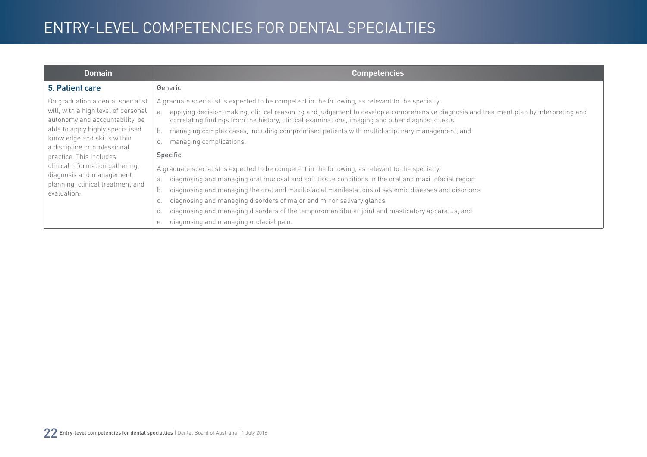| <b>Domain</b>                                                                                                                                                                                                                                                                                                                                               | <b>Competencies</b>                                                                                                                                                                                                                                                                                                                                                                                                                                                                                                                                                                                                                                                                                                                                                                                                                                                                                                                                                                                                                                        |
|-------------------------------------------------------------------------------------------------------------------------------------------------------------------------------------------------------------------------------------------------------------------------------------------------------------------------------------------------------------|------------------------------------------------------------------------------------------------------------------------------------------------------------------------------------------------------------------------------------------------------------------------------------------------------------------------------------------------------------------------------------------------------------------------------------------------------------------------------------------------------------------------------------------------------------------------------------------------------------------------------------------------------------------------------------------------------------------------------------------------------------------------------------------------------------------------------------------------------------------------------------------------------------------------------------------------------------------------------------------------------------------------------------------------------------|
| 5. Patient care                                                                                                                                                                                                                                                                                                                                             | Generic                                                                                                                                                                                                                                                                                                                                                                                                                                                                                                                                                                                                                                                                                                                                                                                                                                                                                                                                                                                                                                                    |
| On graduation a dental specialist<br>will, with a high level of personal<br>autonomy and accountability, be<br>able to apply highly specialised<br>knowledge and skills within<br>a discipline or professional<br>practice. This includes<br>clinical information gathering,<br>diagnosis and management<br>planning, clinical treatment and<br>evaluation. | A graduate specialist is expected to be competent in the following, as relevant to the specialty:<br>applying decision-making, clinical reasoning and judgement to develop a comprehensive diagnosis and treatment plan by interpreting and<br>a.<br>correlating findings from the history, clinical examinations, imaging and other diagnostic tests<br>managing complex cases, including compromised patients with multidisciplinary management, and<br>managing complications.<br>Specific<br>A graduate specialist is expected to be competent in the following, as relevant to the specialty:<br>diagnosing and managing oral mucosal and soft tissue conditions in the oral and maxillofacial region<br>a.<br>diagnosing and managing the oral and maxillofacial manifestations of systemic diseases and disorders<br>b.<br>diagnosing and managing disorders of major and minor salivary glands<br>diagnosing and managing disorders of the temporomandibular joint and masticatory apparatus, and<br>diagnosing and managing orofacial pain.<br>е. |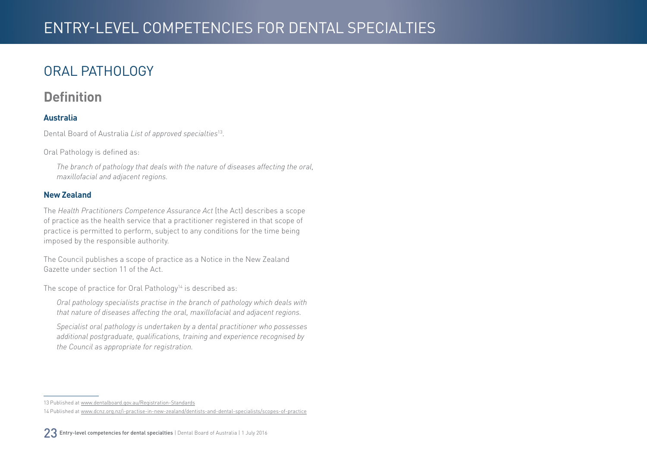### <span id="page-22-0"></span>ORAL PATHOLOGY

#### **Definition**

#### **Australia**

Dental Board of Australia *List of approved specialties*13.

Oral Pathology is defined as:

*The branch of pathology that deals with the nature of diseases affecting the oral, maxillofacial and adjacent regions.*

#### **New Zealand**

The *Health Practitioners Competence Assurance Act* (the Act) describes a scope of practice as the health service that a practitioner registered in that scope of practice is permitted to perform, subject to any conditions for the time being imposed by the responsible authority.

The Council publishes a scope of practice as a Notice in the New Zealand Gazette under section 11 of the Act.

The scope of practice for Oral Pathology<sup>14</sup> is described as:

*Oral pathology specialists practise in the branch of pathology which deals with that nature of diseases affecting the oral, maxillofacial and adjacent regions.*

*Specialist oral pathology is undertaken by a dental practitioner who possesses additional postgraduate, qualifications, training and experience recognised by the Council as appropriate for registration.* 

<sup>13</sup> Published at [www.dentalboard.gov.au/Registration-Standards](http://www.dentalboard.gov.au/Registration-Standards.aspx)

<sup>14</sup> Published at [www.dcnz.org.nz/i-practise-in-new-zealand/dentists-and-dental-specialists/scopes-of-practice](http://www.dcnz.org.nz/i-practise-in-new-zealand/dentists-and-dental-specialists/scopes-of-practice)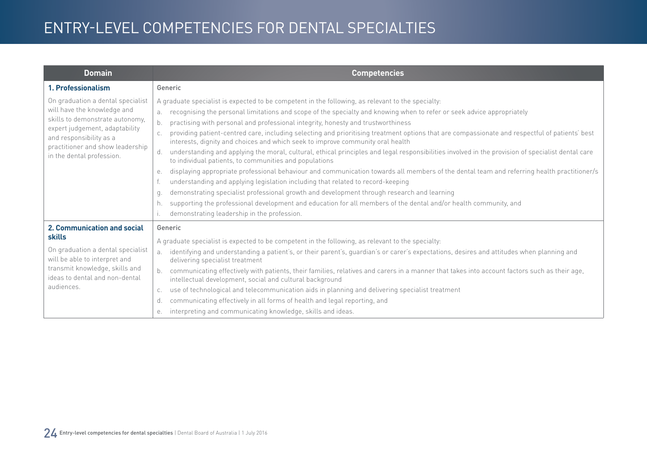| <b>Domain</b>                                                                                                                                                                                                                     | <b>Competencies</b>                                                                                                                                                                                                                                                                                                                                                                                                                                                                                                                                                                                                                                                                                                                                                                                                                                                                                                                                                                                                                                                                                                                                                                                                                                                                                |
|-----------------------------------------------------------------------------------------------------------------------------------------------------------------------------------------------------------------------------------|----------------------------------------------------------------------------------------------------------------------------------------------------------------------------------------------------------------------------------------------------------------------------------------------------------------------------------------------------------------------------------------------------------------------------------------------------------------------------------------------------------------------------------------------------------------------------------------------------------------------------------------------------------------------------------------------------------------------------------------------------------------------------------------------------------------------------------------------------------------------------------------------------------------------------------------------------------------------------------------------------------------------------------------------------------------------------------------------------------------------------------------------------------------------------------------------------------------------------------------------------------------------------------------------------|
| 1. Professionalism                                                                                                                                                                                                                | Generic                                                                                                                                                                                                                                                                                                                                                                                                                                                                                                                                                                                                                                                                                                                                                                                                                                                                                                                                                                                                                                                                                                                                                                                                                                                                                            |
| On graduation a dental specialist<br>will have the knowledge and<br>skills to demonstrate autonomy,<br>expert judgement, adaptability<br>and responsibility as a<br>practitioner and show leadership<br>in the dental profession. | A graduate specialist is expected to be competent in the following, as relevant to the specialty:<br>recognising the personal limitations and scope of the specialty and knowing when to refer or seek advice appropriately<br>b.<br>practising with personal and professional integrity, honesty and trustworthiness<br>providing patient-centred care, including selecting and prioritising treatment options that are compassionate and respectful of patients' best<br>interests, dignity and choices and which seek to improve community oral health<br>understanding and applying the moral, cultural, ethical principles and legal responsibilities involved in the provision of specialist dental care<br>d.<br>to individual patients, to communities and populations<br>displaying appropriate professional behaviour and communication towards all members of the dental team and referring health practitioner/s<br>е.<br>understanding and applying legislation including that related to record-keeping<br>demonstrating specialist professional growth and development through research and learning<br>q.<br>supporting the professional development and education for all members of the dental and/or health community, and<br>h.<br>demonstrating leadership in the profession. |
| 2. Communication and social<br>skills<br>On graduation a dental specialist<br>will be able to interpret and<br>transmit knowledge, skills and<br>ideas to dental and non-dental<br>audiences.                                     | Generic<br>A graduate specialist is expected to be competent in the following, as relevant to the specialty:<br>identifying and understanding a patient's, or their parent's, guardian's or carer's expectations, desires and attitudes when planning and<br>a <sub>z</sub><br>delivering specialist treatment<br>communicating effectively with patients, their families, relatives and carers in a manner that takes into account factors such as their age,<br>intellectual development, social and cultural background<br>use of technological and telecommunication aids in planning and delivering specialist treatment<br>C.<br>communicating effectively in all forms of health and legal reporting, and<br>d.<br>interpreting and communicating knowledge, skills and ideas.<br>е.                                                                                                                                                                                                                                                                                                                                                                                                                                                                                                        |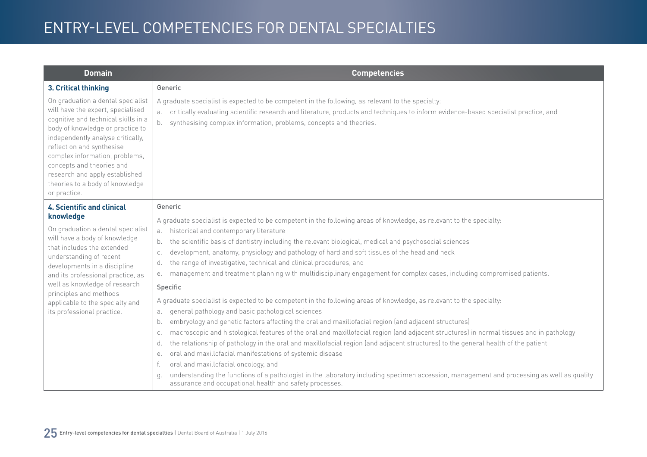| <b>Domain</b>                                                                                                                                                                                                                                                                                                                                                                  | <b>Competencies</b>                                                                                                                                                                                                                                                                                                                                                                                                                                                                                                                                                                                                                                                                                                                                                                                                                                                                                                                                                                                                                                                                                                                                                                                                                                                                                                                                                                                                                                                                                                                                 |
|--------------------------------------------------------------------------------------------------------------------------------------------------------------------------------------------------------------------------------------------------------------------------------------------------------------------------------------------------------------------------------|-----------------------------------------------------------------------------------------------------------------------------------------------------------------------------------------------------------------------------------------------------------------------------------------------------------------------------------------------------------------------------------------------------------------------------------------------------------------------------------------------------------------------------------------------------------------------------------------------------------------------------------------------------------------------------------------------------------------------------------------------------------------------------------------------------------------------------------------------------------------------------------------------------------------------------------------------------------------------------------------------------------------------------------------------------------------------------------------------------------------------------------------------------------------------------------------------------------------------------------------------------------------------------------------------------------------------------------------------------------------------------------------------------------------------------------------------------------------------------------------------------------------------------------------------------|
| 3. Critical thinking                                                                                                                                                                                                                                                                                                                                                           | Generic                                                                                                                                                                                                                                                                                                                                                                                                                                                                                                                                                                                                                                                                                                                                                                                                                                                                                                                                                                                                                                                                                                                                                                                                                                                                                                                                                                                                                                                                                                                                             |
| On graduation a dental specialist<br>will have the expert, specialised<br>cognitive and technical skills in a<br>body of knowledge or practice to<br>independently analyse critically,<br>reflect on and synthesise<br>complex information, problems,<br>concepts and theories and<br>research and apply established<br>theories to a body of knowledge<br>or practice.        | A graduate specialist is expected to be competent in the following, as relevant to the specialty:<br>critically evaluating scientific research and literature, products and techniques to inform evidence-based specialist practice, and<br>а.<br>synthesising complex information, problems, concepts and theories.<br>b.                                                                                                                                                                                                                                                                                                                                                                                                                                                                                                                                                                                                                                                                                                                                                                                                                                                                                                                                                                                                                                                                                                                                                                                                                          |
| <b>4. Scientific and clinical</b><br>knowledge<br>On graduation a dental specialist<br>will have a body of knowledge<br>that includes the extended<br>understanding of recent<br>developments in a discipline<br>and its professional practice, as<br>well as knowledge of research<br>principles and methods<br>applicable to the specialty and<br>its professional practice. | Generic<br>A graduate specialist is expected to be competent in the following areas of knowledge, as relevant to the specialty:<br>historical and contemporary literature<br>а.<br>the scientific basis of dentistry including the relevant biological, medical and psychosocial sciences<br>b.<br>development, anatomy, physiology and pathology of hard and soft tissues of the head and neck<br>C.<br>the range of investigative, technical and clinical procedures, and<br>d.<br>management and treatment planning with multidisciplinary engagement for complex cases, including compromised patients.<br>е.<br>Specific<br>A graduate specialist is expected to be competent in the following areas of knowledge, as relevant to the specialty:<br>general pathology and basic pathological sciences<br>a.<br>embryology and genetic factors affecting the oral and maxillofacial region (and adjacent structures)<br>b.<br>macroscopic and histological features of the oral and maxillofacial region (and adjacent structures) in normal tissues and in pathology<br>C.<br>the relationship of pathology in the oral and maxillofacial region (and adjacent structures) to the general health of the patient<br>d.<br>oral and maxillofacial manifestations of systemic disease<br>е.<br>oral and maxillofacial oncology, and<br>understanding the functions of a pathologist in the laboratory including specimen accession, management and processing as well as quality<br>q.<br>assurance and occupational health and safety processes. |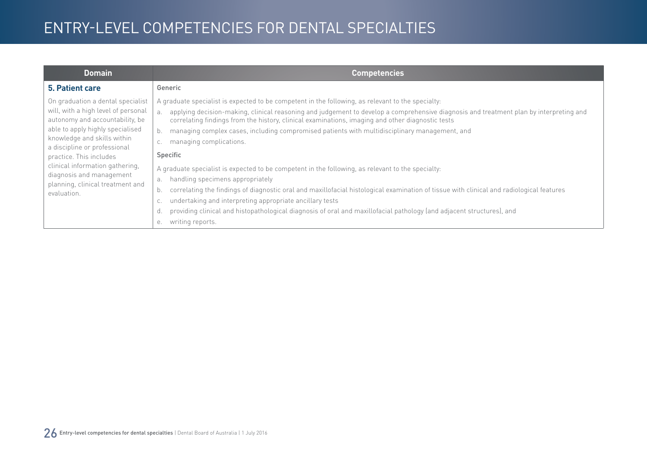| <b>Domain</b>                                                                                                                                                                                                                                                                                                                                               | <b>Competencies</b>                                                                                                                                                                                                                                                                                                                                                                                                                                                                                                                                                                                                                                                                                                                                                                                                                                                                                                                                                                                                                   |
|-------------------------------------------------------------------------------------------------------------------------------------------------------------------------------------------------------------------------------------------------------------------------------------------------------------------------------------------------------------|---------------------------------------------------------------------------------------------------------------------------------------------------------------------------------------------------------------------------------------------------------------------------------------------------------------------------------------------------------------------------------------------------------------------------------------------------------------------------------------------------------------------------------------------------------------------------------------------------------------------------------------------------------------------------------------------------------------------------------------------------------------------------------------------------------------------------------------------------------------------------------------------------------------------------------------------------------------------------------------------------------------------------------------|
| 5. Patient care                                                                                                                                                                                                                                                                                                                                             | Generic                                                                                                                                                                                                                                                                                                                                                                                                                                                                                                                                                                                                                                                                                                                                                                                                                                                                                                                                                                                                                               |
| On graduation a dental specialist<br>will, with a high level of personal<br>autonomy and accountability, be<br>able to apply highly specialised<br>knowledge and skills within<br>a discipline or professional<br>practice. This includes<br>clinical information gathering,<br>diagnosis and management<br>planning, clinical treatment and<br>evaluation. | A graduate specialist is expected to be competent in the following, as relevant to the specialty:<br>applying decision-making, clinical reasoning and judgement to develop a comprehensive diagnosis and treatment plan by interpreting and<br>a <sub>x</sub><br>correlating findings from the history, clinical examinations, imaging and other diagnostic tests<br>managing complex cases, including compromised patients with multidisciplinary management, and<br>managing complications.<br>Specific<br>A graduate specialist is expected to be competent in the following, as relevant to the specialty:<br>handling specimens appropriately<br>a.<br>correlating the findings of diagnostic oral and maxillofacial histological examination of tissue with clinical and radiological features<br>b.<br>undertaking and interpreting appropriate ancillary tests<br>C.<br>providing clinical and histopathological diagnosis of oral and maxillofacial pathology (and adjacent structures), and<br>d.<br>writing reports.<br>е. |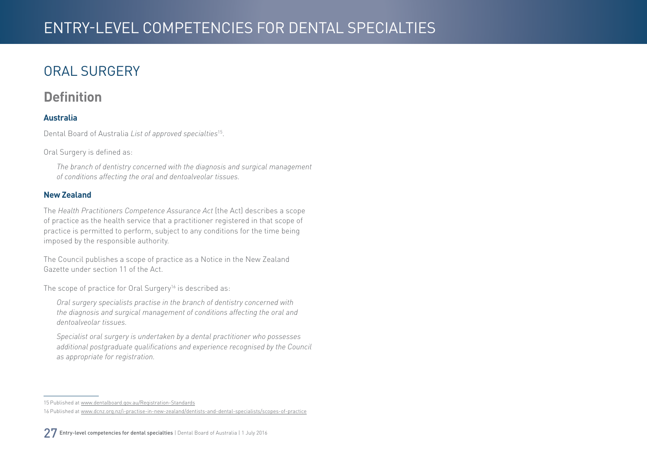## <span id="page-26-0"></span>ORAL SURGERY

#### **Definition**

#### **Australia**

Dental Board of Australia *List of approved specialties*15.

Oral Surgery is defined as:

*The branch of dentistry concerned with the diagnosis and surgical management of conditions affecting the oral and dentoalveolar tissues.*

#### **New Zealand**

The *Health Practitioners Competence Assurance Act* (the Act) describes a scope of practice as the health service that a practitioner registered in that scope of practice is permitted to perform, subject to any conditions for the time being imposed by the responsible authority.

The Council publishes a scope of practice as a Notice in the New Zealand Gazette under section 11 of the Act.

The scope of practice for Oral Surgery<sup>16</sup> is described as:

*Oral surgery specialists practise in the branch of dentistry concerned with the diagnosis and surgical management of conditions affecting the oral and dentoalveolar tissues.*

*Specialist oral surgery is undertaken by a dental practitioner who possesses additional postgraduate qualifications and experience recognised by the Council as appropriate for registration.*

<sup>15</sup> Published at [www.dentalboard.gov.au/Registration-Standards](http://www.dentalboard.gov.au/Registration-Standards.aspx)

<sup>16</sup> Published at [www.dcnz.org.nz/i-practise-in-new-zealand/dentists-and-dental-specialists/scopes-of-practice](http://www.dcnz.org.nz/i-practise-in-new-zealand/dentists-and-dental-specialists/scopes-of-practice)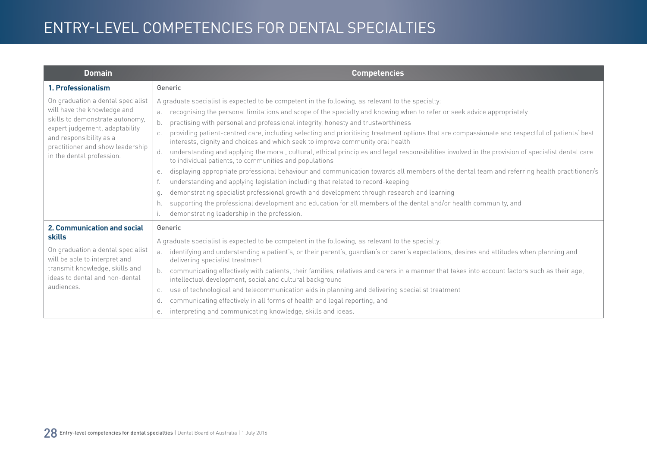| <b>Domain</b>                                                                                                                                                                                                                     | <b>Competencies</b>                                                                                                                                                                                                                                                                                                                                                                                                                                                                                                                                                                                                                                                                                                                                                                                                                                                                                                                                                                                                                                                                                                                                                                                                                                                                                |
|-----------------------------------------------------------------------------------------------------------------------------------------------------------------------------------------------------------------------------------|----------------------------------------------------------------------------------------------------------------------------------------------------------------------------------------------------------------------------------------------------------------------------------------------------------------------------------------------------------------------------------------------------------------------------------------------------------------------------------------------------------------------------------------------------------------------------------------------------------------------------------------------------------------------------------------------------------------------------------------------------------------------------------------------------------------------------------------------------------------------------------------------------------------------------------------------------------------------------------------------------------------------------------------------------------------------------------------------------------------------------------------------------------------------------------------------------------------------------------------------------------------------------------------------------|
| 1. Professionalism                                                                                                                                                                                                                | Generic                                                                                                                                                                                                                                                                                                                                                                                                                                                                                                                                                                                                                                                                                                                                                                                                                                                                                                                                                                                                                                                                                                                                                                                                                                                                                            |
| On graduation a dental specialist<br>will have the knowledge and<br>skills to demonstrate autonomy,<br>expert judgement, adaptability<br>and responsibility as a<br>practitioner and show leadership<br>in the dental profession. | A graduate specialist is expected to be competent in the following, as relevant to the specialty:<br>recognising the personal limitations and scope of the specialty and knowing when to refer or seek advice appropriately<br>b.<br>practising with personal and professional integrity, honesty and trustworthiness<br>providing patient-centred care, including selecting and prioritising treatment options that are compassionate and respectful of patients' best<br>interests, dignity and choices and which seek to improve community oral health<br>understanding and applying the moral, cultural, ethical principles and legal responsibilities involved in the provision of specialist dental care<br>d.<br>to individual patients, to communities and populations<br>displaying appropriate professional behaviour and communication towards all members of the dental team and referring health practitioner/s<br>е.<br>understanding and applying legislation including that related to record-keeping<br>demonstrating specialist professional growth and development through research and learning<br>q.<br>supporting the professional development and education for all members of the dental and/or health community, and<br>h.<br>demonstrating leadership in the profession. |
| 2. Communication and social<br>skills<br>On graduation a dental specialist<br>will be able to interpret and<br>transmit knowledge, skills and<br>ideas to dental and non-dental<br>audiences.                                     | Generic<br>A graduate specialist is expected to be competent in the following, as relevant to the specialty:<br>identifying and understanding a patient's, or their parent's, guardian's or carer's expectations, desires and attitudes when planning and<br>a <sub>z</sub><br>delivering specialist treatment<br>communicating effectively with patients, their families, relatives and carers in a manner that takes into account factors such as their age,<br>intellectual development, social and cultural background<br>use of technological and telecommunication aids in planning and delivering specialist treatment<br>C.<br>communicating effectively in all forms of health and legal reporting, and<br>d.<br>interpreting and communicating knowledge, skills and ideas.<br>е.                                                                                                                                                                                                                                                                                                                                                                                                                                                                                                        |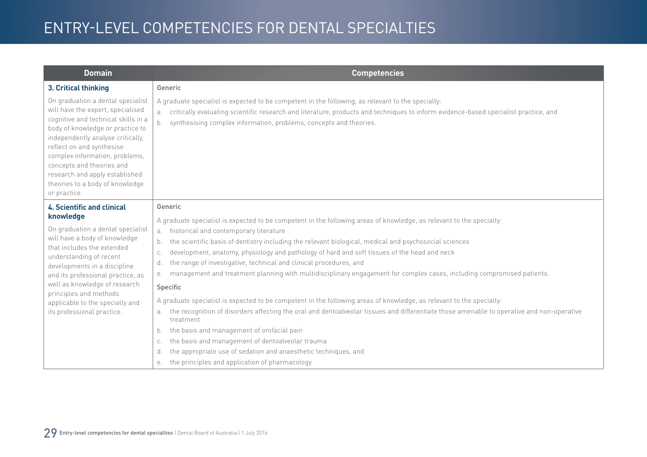| <b>Domain</b>                                                                                                                                                                                                                                                                                                                                                           | <b>Competencies</b>                                                                                                                                                                                                                                                                                                                                                                                                                                                                                                                                                                                                                                                                                                                                                                                                                                                                                        |
|-------------------------------------------------------------------------------------------------------------------------------------------------------------------------------------------------------------------------------------------------------------------------------------------------------------------------------------------------------------------------|------------------------------------------------------------------------------------------------------------------------------------------------------------------------------------------------------------------------------------------------------------------------------------------------------------------------------------------------------------------------------------------------------------------------------------------------------------------------------------------------------------------------------------------------------------------------------------------------------------------------------------------------------------------------------------------------------------------------------------------------------------------------------------------------------------------------------------------------------------------------------------------------------------|
| 3. Critical thinking                                                                                                                                                                                                                                                                                                                                                    | Generic                                                                                                                                                                                                                                                                                                                                                                                                                                                                                                                                                                                                                                                                                                                                                                                                                                                                                                    |
| On graduation a dental specialist<br>will have the expert, specialised<br>cognitive and technical skills in a<br>body of knowledge or practice to<br>independently analyse critically,<br>reflect on and synthesise<br>complex information, problems,<br>concepts and theories and<br>research and apply established<br>theories to a body of knowledge<br>or practice. | A graduate specialist is expected to be competent in the following, as relevant to the specialty:<br>critically evaluating scientific research and literature, products and techniques to inform evidence-based specialist practice, and<br>a.<br>synthesising complex information, problems, concepts and theories.<br>b.                                                                                                                                                                                                                                                                                                                                                                                                                                                                                                                                                                                 |
| <b>4. Scientific and clinical</b><br>knowledge                                                                                                                                                                                                                                                                                                                          | Generic                                                                                                                                                                                                                                                                                                                                                                                                                                                                                                                                                                                                                                                                                                                                                                                                                                                                                                    |
| On graduation a dental specialist<br>will have a body of knowledge<br>that includes the extended<br>understanding of recent<br>developments in a discipline<br>and its professional practice, as<br>well as knowledge of research<br>principles and methods<br>applicable to the specialty and<br>its professional practice.                                            | A graduate specialist is expected to be competent in the following areas of knowledge, as relevant to the specialty:<br>historical and contemporary literature<br>a.<br>the scientific basis of dentistry including the relevant biological, medical and psychosocial sciences<br>b.<br>development, anatomy, physiology and pathology of hard and soft tissues of the head and neck<br>C.<br>the range of investigative, technical and clinical procedures, and<br>d.<br>management and treatment planning with multidisciplinary engagement for complex cases, including compromised patients.<br>е.<br>Specific<br>A graduate specialist is expected to be competent in the following areas of knowledge, as relevant to the specialty:<br>the recognition of disorders affecting the oral and dentoalveolar tissues and differentiate those amenable to operative and non-operative<br>a.<br>treatment |
|                                                                                                                                                                                                                                                                                                                                                                         | the basis and management of orofacial pain<br>b.                                                                                                                                                                                                                                                                                                                                                                                                                                                                                                                                                                                                                                                                                                                                                                                                                                                           |
|                                                                                                                                                                                                                                                                                                                                                                         | the basis and management of dentoalveolar trauma<br>C.<br>the appropriate use of sedation and anaesthetic techniques, and<br>d.<br>the principles and application of pharmacology.<br>е.                                                                                                                                                                                                                                                                                                                                                                                                                                                                                                                                                                                                                                                                                                                   |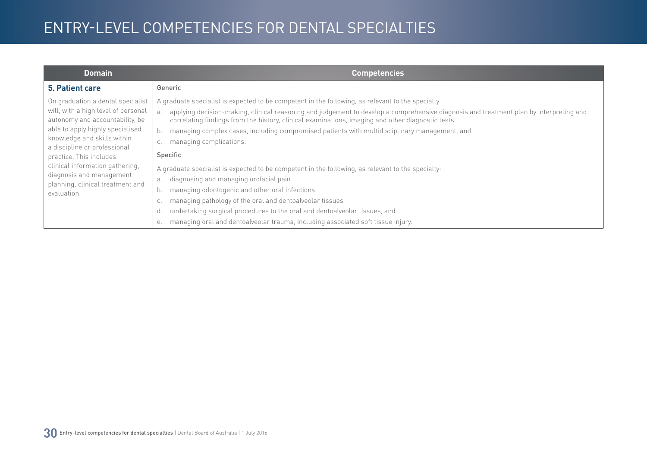| <b>Domain</b>                                                                                                                                                                                                                                                                                                                                               | <b>Competencies</b>                                                                                                                                                                                                                                                                                                                                                                                                                                                                                                                                                                                                                                                                                                                                                                                                                                                                                                                                   |
|-------------------------------------------------------------------------------------------------------------------------------------------------------------------------------------------------------------------------------------------------------------------------------------------------------------------------------------------------------------|-------------------------------------------------------------------------------------------------------------------------------------------------------------------------------------------------------------------------------------------------------------------------------------------------------------------------------------------------------------------------------------------------------------------------------------------------------------------------------------------------------------------------------------------------------------------------------------------------------------------------------------------------------------------------------------------------------------------------------------------------------------------------------------------------------------------------------------------------------------------------------------------------------------------------------------------------------|
| 5. Patient care                                                                                                                                                                                                                                                                                                                                             | Generic                                                                                                                                                                                                                                                                                                                                                                                                                                                                                                                                                                                                                                                                                                                                                                                                                                                                                                                                               |
| On graduation a dental specialist<br>will, with a high level of personal<br>autonomy and accountability, be<br>able to apply highly specialised<br>knowledge and skills within<br>a discipline or professional<br>practice. This includes<br>clinical information gathering,<br>diagnosis and management<br>planning, clinical treatment and<br>evaluation. | A graduate specialist is expected to be competent in the following, as relevant to the specialty:<br>applying decision-making, clinical reasoning and judgement to develop a comprehensive diagnosis and treatment plan by interpreting and<br>correlating findings from the history, clinical examinations, imaging and other diagnostic tests<br>managing complex cases, including compromised patients with multidisciplinary management, and<br>managing complications.<br><b>Specific</b><br>A graduate specialist is expected to be competent in the following, as relevant to the specialty:<br>diagnosing and managing orofacial pain<br>а.<br>managing odontogenic and other oral infections<br>b.<br>managing pathology of the oral and dentoalveolar tissues<br>undertaking surgical procedures to the oral and dentoalveolar tissues, and<br>d.<br>managing oral and dentoalveolar trauma, including associated soft tissue injury.<br>е. |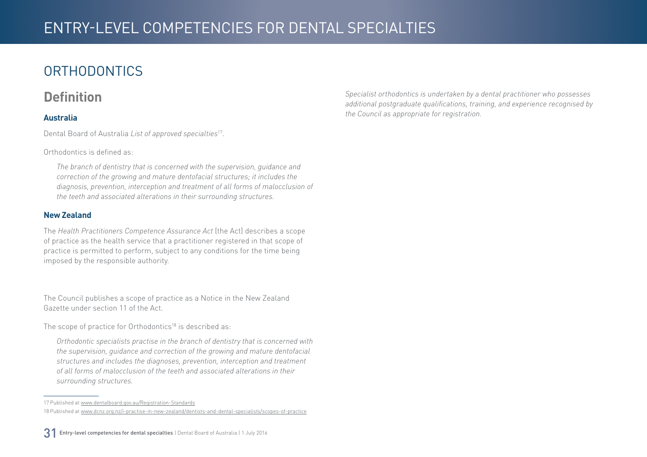## <span id="page-30-0"></span>**ORTHODONTICS**

#### **Definition**

#### **Australia**

Dental Board of Australia *List of approved specialties*17.

Orthodontics is defined as:

*The branch of dentistry that is concerned with the supervision, guidance and correction of the growing and mature dentofacial structures; it includes the diagnosis, prevention, interception and treatment of all forms of malocclusion of the teeth and associated alterations in their surrounding structures.*

#### **New Zealand**

The *Health Practitioners Competence Assurance Act* (the Act) describes a scope of practice as the health service that a practitioner registered in that scope of practice is permitted to perform, subject to any conditions for the time being imposed by the responsible authority.

The Council publishes a scope of practice as a Notice in the New Zealand Gazette under section 11 of the Act.

The scope of practice for Orthodontics<sup>18</sup> is described as:

*Orthodontic specialists practise in the branch of dentistry that is concerned with the supervision, guidance and correction of the growing and mature dentofacial structures and includes the diagnoses, prevention, interception and treatment of all forms of malocclusion of the teeth and associated alterations in their surrounding structures.*

31 Entry-level competencies for dental specialties | Dental Board of Australia | 1 July 2016

*Specialist orthodontics is undertaken by a dental practitioner who possesses additional postgraduate qualifications, training, and experience recognised by the Council as appropriate for registration.*

<sup>17</sup> Published at [www.dentalboard.gov.au/Registration-Standards](http://www.dentalboard.gov.au/Registration-Standards.aspx) 18 Published at [www.dcnz.org.nz/i-practise-in-new-zealand/dentists-and-dental-specialists/scopes-of-practice](http://www.dcnz.org.nz/i-practise-in-new-zealand/dentists-and-dental-specialists/scopes-of-practice)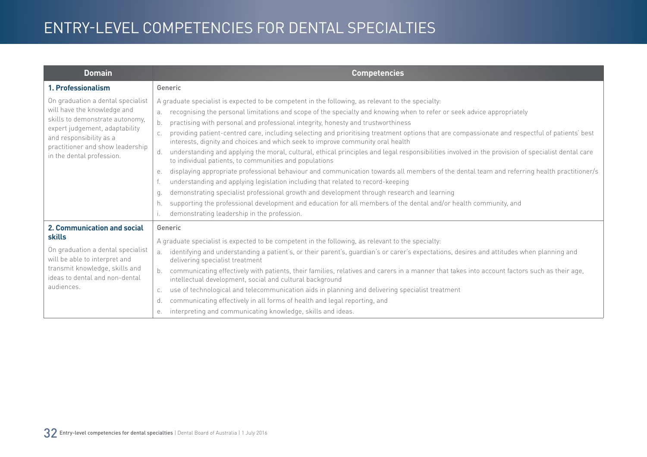| <b>Domain</b>                                                                                                                                                                                                                     | <b>Competencies</b>                                                                                                                                                                                                                                                                                                                                                                                                                                                                                                                                                                                                                                                                                                                                                                                                                                                                                                                                                                                                                                                                                                                                                                                                                                                                                |
|-----------------------------------------------------------------------------------------------------------------------------------------------------------------------------------------------------------------------------------|----------------------------------------------------------------------------------------------------------------------------------------------------------------------------------------------------------------------------------------------------------------------------------------------------------------------------------------------------------------------------------------------------------------------------------------------------------------------------------------------------------------------------------------------------------------------------------------------------------------------------------------------------------------------------------------------------------------------------------------------------------------------------------------------------------------------------------------------------------------------------------------------------------------------------------------------------------------------------------------------------------------------------------------------------------------------------------------------------------------------------------------------------------------------------------------------------------------------------------------------------------------------------------------------------|
| 1. Professionalism                                                                                                                                                                                                                | Generic                                                                                                                                                                                                                                                                                                                                                                                                                                                                                                                                                                                                                                                                                                                                                                                                                                                                                                                                                                                                                                                                                                                                                                                                                                                                                            |
| On graduation a dental specialist<br>will have the knowledge and<br>skills to demonstrate autonomy,<br>expert judgement, adaptability<br>and responsibility as a<br>practitioner and show leadership<br>in the dental profession. | A graduate specialist is expected to be competent in the following, as relevant to the specialty:<br>recognising the personal limitations and scope of the specialty and knowing when to refer or seek advice appropriately<br>b.<br>practising with personal and professional integrity, honesty and trustworthiness<br>providing patient-centred care, including selecting and prioritising treatment options that are compassionate and respectful of patients' best<br>interests, dignity and choices and which seek to improve community oral health<br>understanding and applying the moral, cultural, ethical principles and legal responsibilities involved in the provision of specialist dental care<br>d.<br>to individual patients, to communities and populations<br>displaying appropriate professional behaviour and communication towards all members of the dental team and referring health practitioner/s<br>е.<br>understanding and applying legislation including that related to record-keeping<br>demonstrating specialist professional growth and development through research and learning<br>q.<br>supporting the professional development and education for all members of the dental and/or health community, and<br>h.<br>demonstrating leadership in the profession. |
| 2. Communication and social<br>skills<br>On graduation a dental specialist<br>will be able to interpret and<br>transmit knowledge, skills and<br>ideas to dental and non-dental<br>audiences.                                     | Generic<br>A graduate specialist is expected to be competent in the following, as relevant to the specialty:<br>identifying and understanding a patient's, or their parent's, guardian's or carer's expectations, desires and attitudes when planning and<br>a <sub>z</sub><br>delivering specialist treatment<br>communicating effectively with patients, their families, relatives and carers in a manner that takes into account factors such as their age,<br>intellectual development, social and cultural background<br>use of technological and telecommunication aids in planning and delivering specialist treatment<br>C.<br>communicating effectively in all forms of health and legal reporting, and<br>d.<br>interpreting and communicating knowledge, skills and ideas.<br>е.                                                                                                                                                                                                                                                                                                                                                                                                                                                                                                        |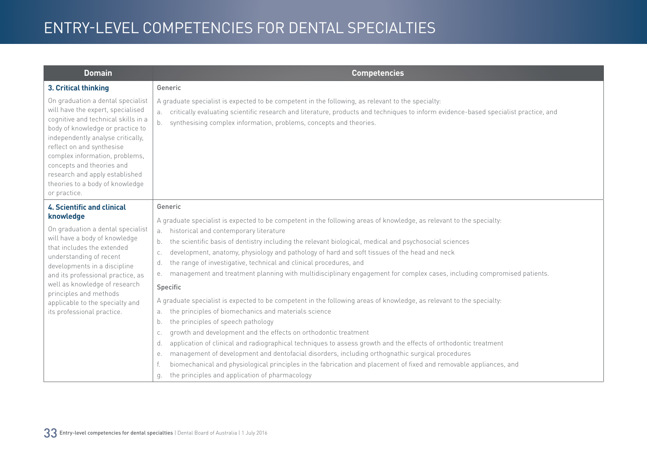| <b>Domain</b>                                                                                                                                                                                                                                                                                                                                                           | <b>Competencies</b>                                                                                                                                                                                                                                                                                                                                                                                                                                                                                                                                                                                                                                                                                                                                                                                                                                                                                                                                                                                                                                                                                                                                                                                                                                                                                                                        |
|-------------------------------------------------------------------------------------------------------------------------------------------------------------------------------------------------------------------------------------------------------------------------------------------------------------------------------------------------------------------------|--------------------------------------------------------------------------------------------------------------------------------------------------------------------------------------------------------------------------------------------------------------------------------------------------------------------------------------------------------------------------------------------------------------------------------------------------------------------------------------------------------------------------------------------------------------------------------------------------------------------------------------------------------------------------------------------------------------------------------------------------------------------------------------------------------------------------------------------------------------------------------------------------------------------------------------------------------------------------------------------------------------------------------------------------------------------------------------------------------------------------------------------------------------------------------------------------------------------------------------------------------------------------------------------------------------------------------------------|
| 3. Critical thinking                                                                                                                                                                                                                                                                                                                                                    | Generic                                                                                                                                                                                                                                                                                                                                                                                                                                                                                                                                                                                                                                                                                                                                                                                                                                                                                                                                                                                                                                                                                                                                                                                                                                                                                                                                    |
| On graduation a dental specialist<br>will have the expert, specialised<br>cognitive and technical skills in a<br>body of knowledge or practice to<br>independently analyse critically,<br>reflect on and synthesise<br>complex information, problems,<br>concepts and theories and<br>research and apply established<br>theories to a body of knowledge<br>or practice. | A graduate specialist is expected to be competent in the following, as relevant to the specialty:<br>a. critically evaluating scientific research and literature, products and techniques to inform evidence-based specialist practice, and<br>synthesising complex information, problems, concepts and theories.<br>b.                                                                                                                                                                                                                                                                                                                                                                                                                                                                                                                                                                                                                                                                                                                                                                                                                                                                                                                                                                                                                    |
| <b>4. Scientific and clinical</b>                                                                                                                                                                                                                                                                                                                                       | Generic                                                                                                                                                                                                                                                                                                                                                                                                                                                                                                                                                                                                                                                                                                                                                                                                                                                                                                                                                                                                                                                                                                                                                                                                                                                                                                                                    |
| knowledge<br>On graduation a dental specialist<br>will have a body of knowledge<br>that includes the extended<br>understanding of recent<br>developments in a discipline<br>and its professional practice, as<br>well as knowledge of research<br>principles and methods<br>applicable to the specialty and<br>its professional practice.                               | A graduate specialist is expected to be competent in the following areas of knowledge, as relevant to the specialty:<br>a. historical and contemporary literature<br>the scientific basis of dentistry including the relevant biological, medical and psychosocial sciences<br>b.<br>development, anatomy, physiology and pathology of hard and soft tissues of the head and neck<br>C.<br>the range of investigative, technical and clinical procedures, and<br>d.<br>management and treatment planning with multidisciplinary engagement for complex cases, including compromised patients.<br>е.<br>Specific<br>A graduate specialist is expected to be competent in the following areas of knowledge, as relevant to the specialty:<br>the principles of biomechanics and materials science<br>a.<br>the principles of speech pathology<br>b.<br>growth and development and the effects on orthodontic treatment<br>C.<br>application of clinical and radiographical techniques to assess growth and the effects of orthodontic treatment<br>d.<br>management of development and dentofacial disorders, including orthognathic surgical procedures<br>е.<br>biomechanical and physiological principles in the fabrication and placement of fixed and removable appliances, and<br>the principles and application of pharmacology<br>q. |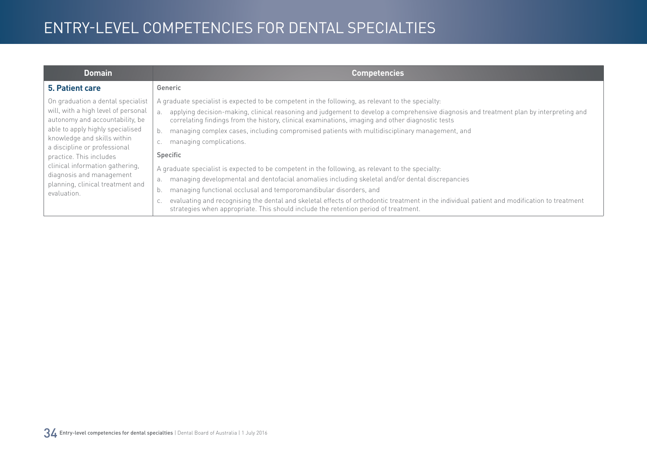| <b>Domain</b>                                                                                                                                                                                                                                                                                                                                               | <b>Competencies</b>                                                                                                                                                                                                                                                                                                                                                                                                                                                                                                                                                                                                                                                                                                                                                                                                                                                                                                                                                                                                                            |
|-------------------------------------------------------------------------------------------------------------------------------------------------------------------------------------------------------------------------------------------------------------------------------------------------------------------------------------------------------------|------------------------------------------------------------------------------------------------------------------------------------------------------------------------------------------------------------------------------------------------------------------------------------------------------------------------------------------------------------------------------------------------------------------------------------------------------------------------------------------------------------------------------------------------------------------------------------------------------------------------------------------------------------------------------------------------------------------------------------------------------------------------------------------------------------------------------------------------------------------------------------------------------------------------------------------------------------------------------------------------------------------------------------------------|
| 5. Patient care                                                                                                                                                                                                                                                                                                                                             | Generic                                                                                                                                                                                                                                                                                                                                                                                                                                                                                                                                                                                                                                                                                                                                                                                                                                                                                                                                                                                                                                        |
| On graduation a dental specialist<br>will, with a high level of personal<br>autonomy and accountability, be<br>able to apply highly specialised<br>knowledge and skills within<br>a discipline or professional<br>practice. This includes<br>clinical information gathering,<br>diagnosis and management<br>planning, clinical treatment and<br>evaluation. | A graduate specialist is expected to be competent in the following, as relevant to the specialty:<br>applying decision-making, clinical reasoning and judgement to develop a comprehensive diagnosis and treatment plan by interpreting and<br>a.<br>correlating findings from the history, clinical examinations, imaging and other diagnostic tests<br>managing complex cases, including compromised patients with multidisciplinary management, and<br>b.<br>managing complications.<br>C.<br>Specific<br>A graduate specialist is expected to be competent in the following, as relevant to the specialty.<br>managing developmental and dentofacial anomalies including skeletal and/or dental discrepancies<br>a.<br>managing functional occlusal and temporomandibular disorders, and<br>b.<br>evaluating and recognising the dental and skeletal effects of orthodontic treatment in the individual patient and modification to treatment<br>С.<br>strategies when appropriate. This should include the retention period of treatment. |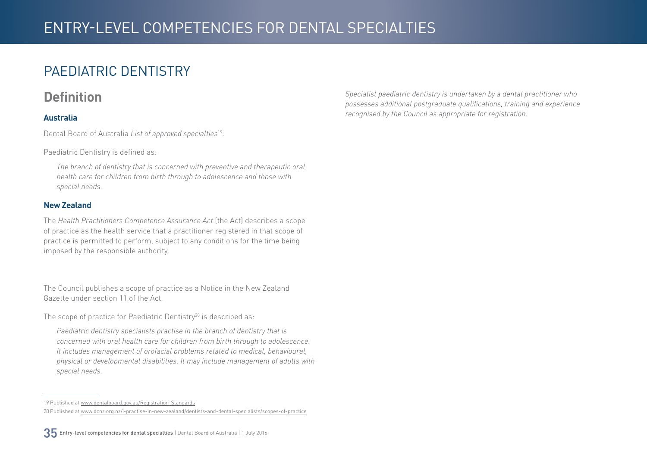### <span id="page-34-0"></span>PAEDIATRIC DENTISTRY

#### **Definition**

#### **Australia**

Dental Board of Australia *List of approved specialties*19.

Paediatric Dentistry is defined as:

*The branch of dentistry that is concerned with preventive and therapeutic oral health care for children from birth through to adolescence and those with special needs.*

#### **New Zealand**

The *Health Practitioners Competence Assurance Act* (the Act) describes a scope of practice as the health service that a practitioner registered in that scope of practice is permitted to perform, subject to any conditions for the time being imposed by the responsible authority.

The Council publishes a scope of practice as a Notice in the New Zealand Gazette under section 11 of the Act.

The scope of practice for Paediatric Dentistry<sup>20</sup> is described as:

*Paediatric dentistry specialists practise in the branch of dentistry that is concerned with oral health care for children from birth through to adolescence. It includes management of orofacial problems related to medical, behavioural, physical or developmental disabilities. It may include management of adults with special needs.*

35 Entry-level competencies for dental specialties | Dental Board of Australia | 1 July 2016

*Specialist paediatric dentistry is undertaken by a dental practitioner who possesses additional postgraduate qualifications, training and experience recognised by the Council as appropriate for registration.*

<sup>19</sup> Published at [www.dentalboard.gov.au/Registration-Standards](http://www.dentalboard.gov.au/Registration-Standards.aspx) 20 Published at [www.dcnz.org.nz/i-practise-in-new-zealand/dentists-and-dental-specialists/scopes-of-practice](http://www.dcnz.org.nz/i-practise-in-new-zealand/dentists-and-dental-specialists/scopes-of-practice)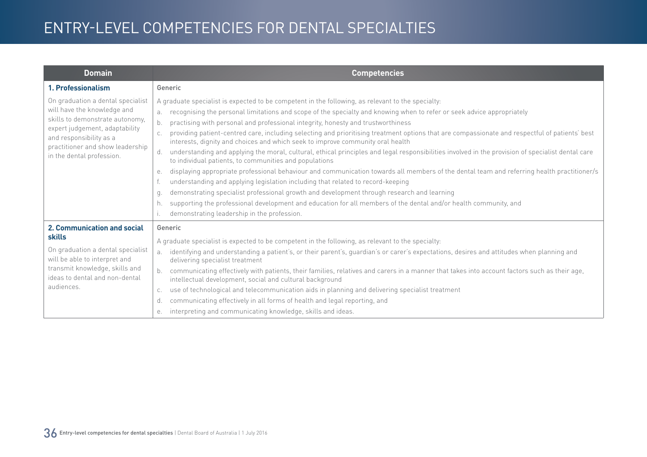| <b>Domain</b>                                                                                                                                                                                                                     | <b>Competencies</b>                                                                                                                                                                                                                                                                                                                                                                                                                                                                                                                                                                                                                                                                                                                                                                                                                                                                                                                                                                                                                                                                                                                                                                                                                                                                                |
|-----------------------------------------------------------------------------------------------------------------------------------------------------------------------------------------------------------------------------------|----------------------------------------------------------------------------------------------------------------------------------------------------------------------------------------------------------------------------------------------------------------------------------------------------------------------------------------------------------------------------------------------------------------------------------------------------------------------------------------------------------------------------------------------------------------------------------------------------------------------------------------------------------------------------------------------------------------------------------------------------------------------------------------------------------------------------------------------------------------------------------------------------------------------------------------------------------------------------------------------------------------------------------------------------------------------------------------------------------------------------------------------------------------------------------------------------------------------------------------------------------------------------------------------------|
| 1. Professionalism                                                                                                                                                                                                                | Generic                                                                                                                                                                                                                                                                                                                                                                                                                                                                                                                                                                                                                                                                                                                                                                                                                                                                                                                                                                                                                                                                                                                                                                                                                                                                                            |
| On graduation a dental specialist<br>will have the knowledge and<br>skills to demonstrate autonomy,<br>expert judgement, adaptability<br>and responsibility as a<br>practitioner and show leadership<br>in the dental profession. | A graduate specialist is expected to be competent in the following, as relevant to the specialty:<br>recognising the personal limitations and scope of the specialty and knowing when to refer or seek advice appropriately<br>b.<br>practising with personal and professional integrity, honesty and trustworthiness<br>providing patient-centred care, including selecting and prioritising treatment options that are compassionate and respectful of patients' best<br>interests, dignity and choices and which seek to improve community oral health<br>understanding and applying the moral, cultural, ethical principles and legal responsibilities involved in the provision of specialist dental care<br>d.<br>to individual patients, to communities and populations<br>displaying appropriate professional behaviour and communication towards all members of the dental team and referring health practitioner/s<br>е.<br>understanding and applying legislation including that related to record-keeping<br>demonstrating specialist professional growth and development through research and learning<br>q.<br>supporting the professional development and education for all members of the dental and/or health community, and<br>h.<br>demonstrating leadership in the profession. |
| 2. Communication and social<br>skills<br>On graduation a dental specialist<br>will be able to interpret and<br>transmit knowledge, skills and<br>ideas to dental and non-dental<br>audiences.                                     | Generic<br>A graduate specialist is expected to be competent in the following, as relevant to the specialty:<br>identifying and understanding a patient's, or their parent's, guardian's or carer's expectations, desires and attitudes when planning and<br>a <sub>z</sub><br>delivering specialist treatment<br>communicating effectively with patients, their families, relatives and carers in a manner that takes into account factors such as their age,<br>intellectual development, social and cultural background<br>use of technological and telecommunication aids in planning and delivering specialist treatment<br>C.<br>communicating effectively in all forms of health and legal reporting, and<br>d.<br>interpreting and communicating knowledge, skills and ideas.<br>е.                                                                                                                                                                                                                                                                                                                                                                                                                                                                                                        |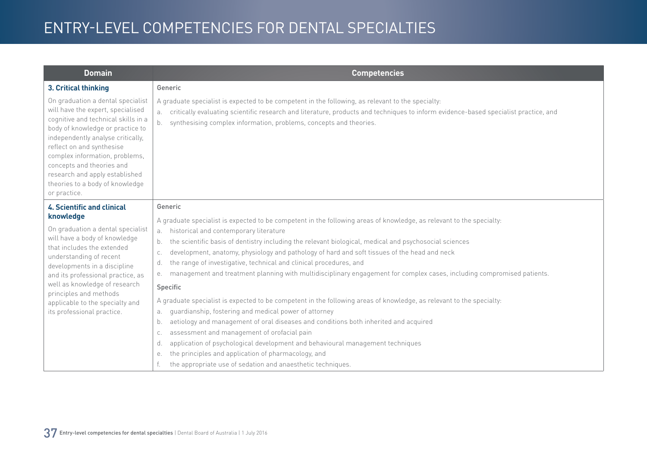| <b>Domain</b>                                                                                                                                                                                                                                                                                                                                                           | <b>Competencies</b>                                                                                                                                                                                                                                                                                                        |
|-------------------------------------------------------------------------------------------------------------------------------------------------------------------------------------------------------------------------------------------------------------------------------------------------------------------------------------------------------------------------|----------------------------------------------------------------------------------------------------------------------------------------------------------------------------------------------------------------------------------------------------------------------------------------------------------------------------|
| 3. Critical thinking                                                                                                                                                                                                                                                                                                                                                    | Generic                                                                                                                                                                                                                                                                                                                    |
| On graduation a dental specialist<br>will have the expert, specialised<br>cognitive and technical skills in a<br>body of knowledge or practice to<br>independently analyse critically,<br>reflect on and synthesise<br>complex information, problems,<br>concepts and theories and<br>research and apply established<br>theories to a body of knowledge<br>or practice. | A graduate specialist is expected to be competent in the following, as relevant to the specialty:<br>critically evaluating scientific research and literature, products and techniques to inform evidence-based specialist practice, and<br>а.<br>synthesising complex information, problems, concepts and theories.<br>b. |
| <b>4. Scientific and clinical</b>                                                                                                                                                                                                                                                                                                                                       | Generic                                                                                                                                                                                                                                                                                                                    |
| knowledge                                                                                                                                                                                                                                                                                                                                                               | A graduate specialist is expected to be competent in the following areas of knowledge, as relevant to the specialty:                                                                                                                                                                                                       |
| On graduation a dental specialist<br>will have a body of knowledge                                                                                                                                                                                                                                                                                                      | historical and contemporary literature<br>a.                                                                                                                                                                                                                                                                               |
| that includes the extended                                                                                                                                                                                                                                                                                                                                              | the scientific basis of dentistry including the relevant biological, medical and psychosocial sciences<br>b.<br>development, anatomy, physiology and pathology of hard and soft tissues of the head and neck<br>C.                                                                                                         |
| understanding of recent                                                                                                                                                                                                                                                                                                                                                 | the range of investigative, technical and clinical procedures, and<br>d.                                                                                                                                                                                                                                                   |
| developments in a discipline<br>and its professional practice, as<br>well as knowledge of research<br>principles and methods<br>applicable to the specialty and<br>its professional practice.                                                                                                                                                                           | management and treatment planning with multidisciplinary engagement for complex cases, including compromised patients.<br>е.                                                                                                                                                                                               |
|                                                                                                                                                                                                                                                                                                                                                                         | Specific                                                                                                                                                                                                                                                                                                                   |
|                                                                                                                                                                                                                                                                                                                                                                         | A graduate specialist is expected to be competent in the following areas of knowledge, as relevant to the specialty:                                                                                                                                                                                                       |
|                                                                                                                                                                                                                                                                                                                                                                         | quardianship, fostering and medical power of attorney<br>a.                                                                                                                                                                                                                                                                |
|                                                                                                                                                                                                                                                                                                                                                                         | aetiology and management of oral diseases and conditions both inherited and acquired<br>b.                                                                                                                                                                                                                                 |
|                                                                                                                                                                                                                                                                                                                                                                         | assessment and management of orofacial pain<br>C.                                                                                                                                                                                                                                                                          |
|                                                                                                                                                                                                                                                                                                                                                                         | application of psychological development and behavioural management techniques<br>d.                                                                                                                                                                                                                                       |
|                                                                                                                                                                                                                                                                                                                                                                         | the principles and application of pharmacology, and<br>е.                                                                                                                                                                                                                                                                  |
|                                                                                                                                                                                                                                                                                                                                                                         | the appropriate use of sedation and anaesthetic techniques.                                                                                                                                                                                                                                                                |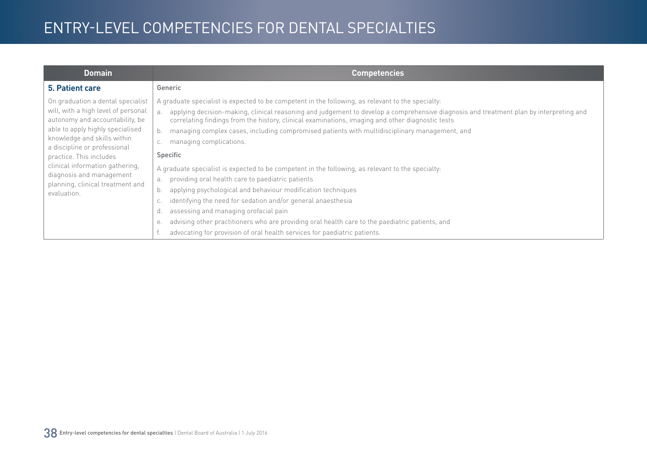| <b>Domain</b>                                                                                                                                                                                                                                                                                                                                               | <b>Competencies</b>                                                                                                                                                                                                                                                                                                                                                                                                                                                                                                                                                                                                                                                                                                                                                                                                                                                                                                                                                                                                                              |
|-------------------------------------------------------------------------------------------------------------------------------------------------------------------------------------------------------------------------------------------------------------------------------------------------------------------------------------------------------------|--------------------------------------------------------------------------------------------------------------------------------------------------------------------------------------------------------------------------------------------------------------------------------------------------------------------------------------------------------------------------------------------------------------------------------------------------------------------------------------------------------------------------------------------------------------------------------------------------------------------------------------------------------------------------------------------------------------------------------------------------------------------------------------------------------------------------------------------------------------------------------------------------------------------------------------------------------------------------------------------------------------------------------------------------|
| <b>5. Patient care</b>                                                                                                                                                                                                                                                                                                                                      | Generic                                                                                                                                                                                                                                                                                                                                                                                                                                                                                                                                                                                                                                                                                                                                                                                                                                                                                                                                                                                                                                          |
| On graduation a dental specialist<br>will, with a high level of personal<br>autonomy and accountability, be<br>able to apply highly specialised<br>knowledge and skills within<br>a discipline or professional<br>practice. This includes<br>clinical information gathering,<br>diagnosis and management<br>planning, clinical treatment and<br>evaluation. | A graduate specialist is expected to be competent in the following, as relevant to the specialty:<br>applying decision-making, clinical reasoning and judgement to develop a comprehensive diagnosis and treatment plan by interpreting and<br>$\overline{a}$ .<br>correlating findings from the history, clinical examinations, imaging and other diagnostic tests<br>managing complex cases, including compromised patients with multidisciplinary management, and<br>managing complications.<br>Specific<br>A graduate specialist is expected to be competent in the following, as relevant to the specialty:<br>providing oral health care to paediatric patients<br>a.<br>applying psychological and behaviour modification techniques<br>b.<br>identifying the need for sedation and/or general anaesthesia<br>assessing and managing orofacial pain<br>advising other practitioners who are providing oral health care to the paediatric patients, and<br>е.<br>advocating for provision of oral health services for paediatric patients. |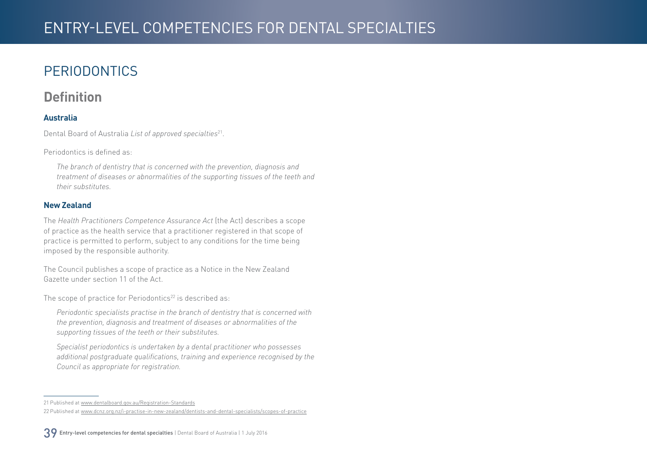## <span id="page-38-0"></span>**PERIODONTICS**

#### **Definition**

#### **Australia**

Dental Board of Australia *List of approved specialties*21.

Periodontics is defined as:

*The branch of dentistry that is concerned with the prevention, diagnosis and treatment of diseases or abnormalities of the supporting tissues of the teeth and their substitutes.*

#### **New Zealand**

The *Health Practitioners Competence Assurance Act* (the Act) describes a scope of practice as the health service that a practitioner registered in that scope of practice is permitted to perform, subject to any conditions for the time being imposed by the responsible authority.

The Council publishes a scope of practice as a Notice in the New Zealand Gazette under section 11 of the Act.

The scope of practice for Periodontics<sup>22</sup> is described as:

*Periodontic specialists practise in the branch of dentistry that is concerned with the prevention, diagnosis and treatment of diseases or abnormalities of the supporting tissues of the teeth or their substitutes.*

*Specialist periodontics is undertaken by a dental practitioner who possesses additional postgraduate qualifications, training and experience recognised by the Council as appropriate for registration.*

<sup>21</sup> Published at [www.dentalboard.gov.au/Registration-Standards](http://www.dentalboard.gov.au/Registration-Standards.aspx)

<sup>22</sup> Published at [www.dcnz.org.nz/i-practise-in-new-zealand/dentists-and-dental-specialists/scopes-of-practice](http://www.dcnz.org.nz/i-practise-in-new-zealand/dentists-and-dental-specialists/scopes-of-practice)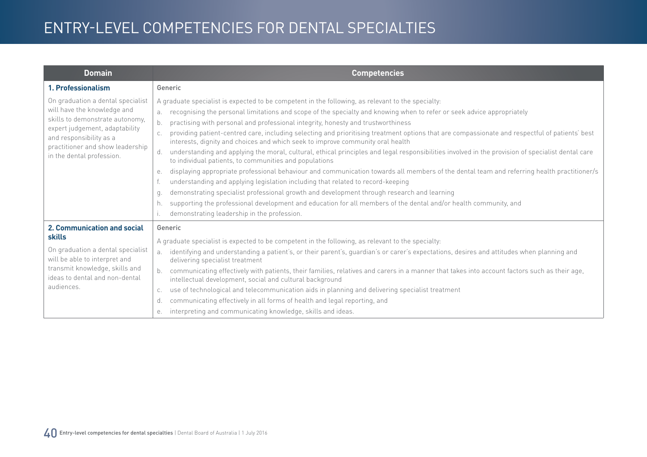| <b>Domain</b>                                                                                                                                                                                                                     | <b>Competencies</b>                                                                                                                                                                                                                                                                                                                                                                                                                                                                                                                                                                                                                                                                                                                                                                                                                                                                                                                                                                                                                                                                                                                                                                                                                                                                                |
|-----------------------------------------------------------------------------------------------------------------------------------------------------------------------------------------------------------------------------------|----------------------------------------------------------------------------------------------------------------------------------------------------------------------------------------------------------------------------------------------------------------------------------------------------------------------------------------------------------------------------------------------------------------------------------------------------------------------------------------------------------------------------------------------------------------------------------------------------------------------------------------------------------------------------------------------------------------------------------------------------------------------------------------------------------------------------------------------------------------------------------------------------------------------------------------------------------------------------------------------------------------------------------------------------------------------------------------------------------------------------------------------------------------------------------------------------------------------------------------------------------------------------------------------------|
| 1. Professionalism                                                                                                                                                                                                                | Generic                                                                                                                                                                                                                                                                                                                                                                                                                                                                                                                                                                                                                                                                                                                                                                                                                                                                                                                                                                                                                                                                                                                                                                                                                                                                                            |
| On graduation a dental specialist<br>will have the knowledge and<br>skills to demonstrate autonomy,<br>expert judgement, adaptability<br>and responsibility as a<br>practitioner and show leadership<br>in the dental profession. | A graduate specialist is expected to be competent in the following, as relevant to the specialty:<br>recognising the personal limitations and scope of the specialty and knowing when to refer or seek advice appropriately<br>b.<br>practising with personal and professional integrity, honesty and trustworthiness<br>providing patient-centred care, including selecting and prioritising treatment options that are compassionate and respectful of patients' best<br>interests, dignity and choices and which seek to improve community oral health<br>understanding and applying the moral, cultural, ethical principles and legal responsibilities involved in the provision of specialist dental care<br>d.<br>to individual patients, to communities and populations<br>displaying appropriate professional behaviour and communication towards all members of the dental team and referring health practitioner/s<br>е.<br>understanding and applying legislation including that related to record-keeping<br>demonstrating specialist professional growth and development through research and learning<br>q.<br>supporting the professional development and education for all members of the dental and/or health community, and<br>h.<br>demonstrating leadership in the profession. |
| 2. Communication and social<br>skills<br>On graduation a dental specialist<br>will be able to interpret and<br>transmit knowledge, skills and<br>ideas to dental and non-dental<br>audiences.                                     | Generic<br>A graduate specialist is expected to be competent in the following, as relevant to the specialty:<br>identifying and understanding a patient's, or their parent's, guardian's or carer's expectations, desires and attitudes when planning and<br>a <sub>z</sub><br>delivering specialist treatment<br>communicating effectively with patients, their families, relatives and carers in a manner that takes into account factors such as their age,<br>intellectual development, social and cultural background<br>use of technological and telecommunication aids in planning and delivering specialist treatment<br>C.<br>communicating effectively in all forms of health and legal reporting, and<br>d.<br>interpreting and communicating knowledge, skills and ideas.<br>е.                                                                                                                                                                                                                                                                                                                                                                                                                                                                                                        |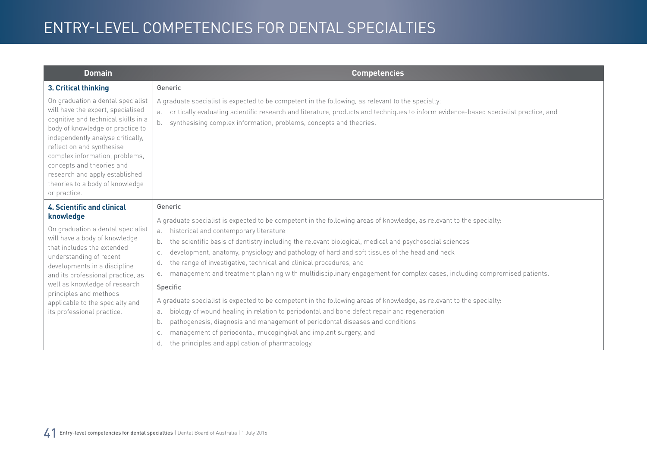| Domain                                                                                                                                                                                                                                                                                                                                                                  | <b>Competencies</b>                                                                                                                                                                                                                                                                                                           |
|-------------------------------------------------------------------------------------------------------------------------------------------------------------------------------------------------------------------------------------------------------------------------------------------------------------------------------------------------------------------------|-------------------------------------------------------------------------------------------------------------------------------------------------------------------------------------------------------------------------------------------------------------------------------------------------------------------------------|
| 3. Critical thinking                                                                                                                                                                                                                                                                                                                                                    | Generic                                                                                                                                                                                                                                                                                                                       |
| On graduation a dental specialist<br>will have the expert, specialised<br>cognitive and technical skills in a<br>body of knowledge or practice to<br>independently analyse critically,<br>reflect on and synthesise<br>complex information, problems,<br>concepts and theories and<br>research and apply established<br>theories to a body of knowledge<br>or practice. | A graduate specialist is expected to be competent in the following, as relevant to the specialty:<br>critically evaluating scientific research and literature, products and techniques to inform evidence-based specialist practice, and<br>a.<br>synthesising complex information, problems, concepts and theories.<br>$b$ . |
| <b>4. Scientific and clinical</b>                                                                                                                                                                                                                                                                                                                                       | Generic                                                                                                                                                                                                                                                                                                                       |
| knowledge<br>On graduation a dental specialist                                                                                                                                                                                                                                                                                                                          | A graduate specialist is expected to be competent in the following areas of knowledge, as relevant to the specialty:<br>historical and contemporary literature                                                                                                                                                                |
| will have a body of knowledge                                                                                                                                                                                                                                                                                                                                           | a.<br>the scientific basis of dentistry including the relevant biological, medical and psychosocial sciences<br>b.                                                                                                                                                                                                            |
| that includes the extended<br>understanding of recent<br>developments in a discipline                                                                                                                                                                                                                                                                                   | development, anatomy, physiology and pathology of hard and soft tissues of the head and neck<br>C.                                                                                                                                                                                                                            |
|                                                                                                                                                                                                                                                                                                                                                                         | the range of investigative, technical and clinical procedures, and<br>d.                                                                                                                                                                                                                                                      |
| and its professional practice, as                                                                                                                                                                                                                                                                                                                                       | management and treatment planning with multidisciplinary engagement for complex cases, including compromised patients.<br>е.                                                                                                                                                                                                  |
| well as knowledge of research<br>principles and methods                                                                                                                                                                                                                                                                                                                 | Specific                                                                                                                                                                                                                                                                                                                      |
| applicable to the specialty and                                                                                                                                                                                                                                                                                                                                         | A graduate specialist is expected to be competent in the following areas of knowledge, as relevant to the specialty:                                                                                                                                                                                                          |
| its professional practice.                                                                                                                                                                                                                                                                                                                                              | biology of wound healing in relation to periodontal and bone defect repair and regeneration<br>а.                                                                                                                                                                                                                             |
|                                                                                                                                                                                                                                                                                                                                                                         | pathogenesis, diagnosis and management of periodontal diseases and conditions<br>b.                                                                                                                                                                                                                                           |
|                                                                                                                                                                                                                                                                                                                                                                         | management of periodontal, mucogingival and implant surgery, and<br>C.                                                                                                                                                                                                                                                        |
|                                                                                                                                                                                                                                                                                                                                                                         | the principles and application of pharmacology.<br>d.                                                                                                                                                                                                                                                                         |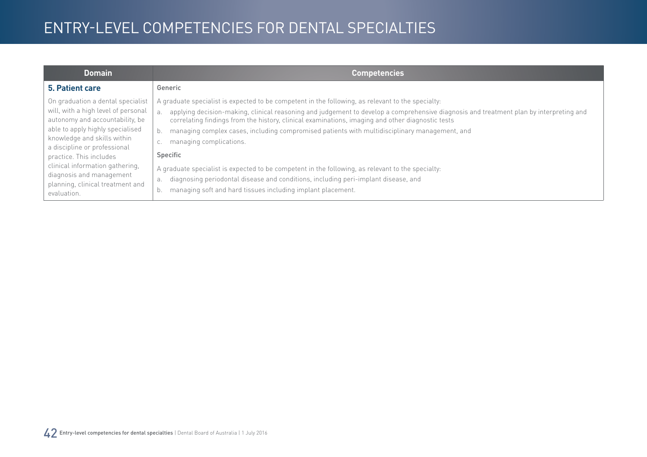| <b>Domain</b>                                                                                                                                                                                                                                                                                                                                               | <b>Competencies</b>                                                                                                                                                                                                                                                                                                                                                                                                                                                                                                                                                                                                                                                                                                                                           |
|-------------------------------------------------------------------------------------------------------------------------------------------------------------------------------------------------------------------------------------------------------------------------------------------------------------------------------------------------------------|---------------------------------------------------------------------------------------------------------------------------------------------------------------------------------------------------------------------------------------------------------------------------------------------------------------------------------------------------------------------------------------------------------------------------------------------------------------------------------------------------------------------------------------------------------------------------------------------------------------------------------------------------------------------------------------------------------------------------------------------------------------|
| 5. Patient care                                                                                                                                                                                                                                                                                                                                             | Generic                                                                                                                                                                                                                                                                                                                                                                                                                                                                                                                                                                                                                                                                                                                                                       |
| On graduation a dental specialist<br>will, with a high level of personal<br>autonomy and accountability, be<br>able to apply highly specialised<br>knowledge and skills within<br>a discipline or professional<br>practice. This includes<br>clinical information gathering,<br>diagnosis and management<br>planning, clinical treatment and<br>evaluation. | A graduate specialist is expected to be competent in the following, as relevant to the specialty:<br>applying decision-making, clinical reasoning and judgement to develop a comprehensive diagnosis and treatment plan by interpreting and<br>correlating findings from the history, clinical examinations, imaging and other diagnostic tests<br>managing complex cases, including compromised patients with multidisciplinary management, and<br>managing complications.<br>Specific<br>A graduate specialist is expected to be competent in the following, as relevant to the specialty:<br>diagnosing periodontal disease and conditions, including peri-implant disease, and<br>а.<br>managing soft and hard tissues including implant placement.<br>b. |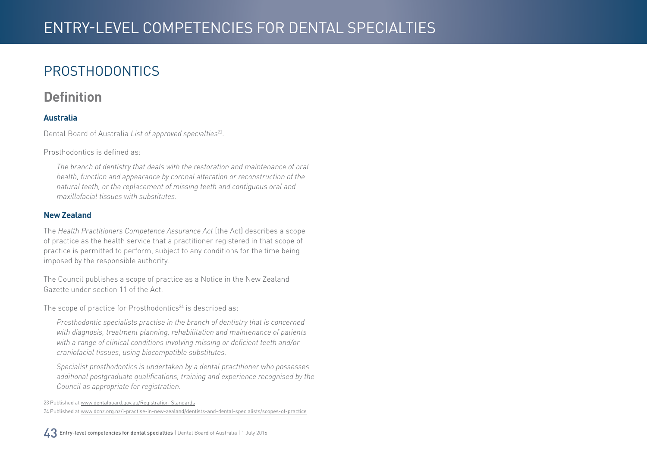## <span id="page-42-0"></span>PROSTHODONTICS

#### **Definition**

#### **Australia**

Dental Board of Australia *List of approved specialties23*.

Prosthodontics is defined as:

*The branch of dentistry that deals with the restoration and maintenance of oral health, function and appearance by coronal alteration or reconstruction of the natural teeth, or the replacement of missing teeth and contiguous oral and maxillofacial tissues with substitutes.*

#### **New Zealand**

The *Health Practitioners Competence Assurance Act* (the Act) describes a scope of practice as the health service that a practitioner registered in that scope of practice is permitted to perform, subject to any conditions for the time being imposed by the responsible authority.

The Council publishes a scope of practice as a Notice in the New Zealand Gazette under section 11 of the Act.

The scope of practice for Prosthodontics $24$  is described as:

*Prosthodontic specialists practise in the branch of dentistry that is concerned with diagnosis, treatment planning, rehabilitation and maintenance of patients with a range of clinical conditions involving missing or deficient teeth and/or craniofacial tissues, using biocompatible substitutes.*

*Specialist prosthodontics is undertaken by a dental practitioner who possesses additional postgraduate qualifications, training and experience recognised by the Council as appropriate for registration.*

<sup>23</sup> Published at [www.dentalboard.gov.au/Registration-Standards](http://www.dentalboard.gov.au/Registration-Standards.aspx) 24 Published at [www.dcnz.org.nz/i-practise-in-new-zealand/dentists-and-dental-specialists/scopes-of-practice](http://www.dcnz.org.nz/i-practise-in-new-zealand/dentists-and-dental-specialists/scopes-of-practice)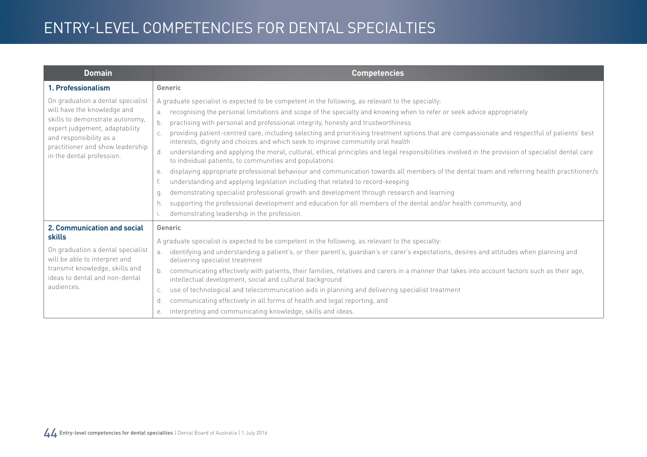| <b>Domain</b>                                                                                                                                                                                                                     | <b>Competencies</b>                                                                                                                                                                                                                                                                                                                                                                                                                                                                                                                                                                                                                                                                                                                                                                                                                                                                                                                                                                                                                                                                                                                                                                                                                                                                                |
|-----------------------------------------------------------------------------------------------------------------------------------------------------------------------------------------------------------------------------------|----------------------------------------------------------------------------------------------------------------------------------------------------------------------------------------------------------------------------------------------------------------------------------------------------------------------------------------------------------------------------------------------------------------------------------------------------------------------------------------------------------------------------------------------------------------------------------------------------------------------------------------------------------------------------------------------------------------------------------------------------------------------------------------------------------------------------------------------------------------------------------------------------------------------------------------------------------------------------------------------------------------------------------------------------------------------------------------------------------------------------------------------------------------------------------------------------------------------------------------------------------------------------------------------------|
| 1. Professionalism                                                                                                                                                                                                                | Generic                                                                                                                                                                                                                                                                                                                                                                                                                                                                                                                                                                                                                                                                                                                                                                                                                                                                                                                                                                                                                                                                                                                                                                                                                                                                                            |
| On graduation a dental specialist<br>will have the knowledge and<br>skills to demonstrate autonomy,<br>expert judgement, adaptability<br>and responsibility as a<br>practitioner and show leadership<br>in the dental profession. | A graduate specialist is expected to be competent in the following, as relevant to the specialty:<br>recognising the personal limitations and scope of the specialty and knowing when to refer or seek advice appropriately<br>b.<br>practising with personal and professional integrity, honesty and trustworthiness<br>providing patient-centred care, including selecting and prioritising treatment options that are compassionate and respectful of patients' best<br>interests, dignity and choices and which seek to improve community oral health<br>understanding and applying the moral, cultural, ethical principles and legal responsibilities involved in the provision of specialist dental care<br>d.<br>to individual patients, to communities and populations<br>displaying appropriate professional behaviour and communication towards all members of the dental team and referring health practitioner/s<br>е.<br>understanding and applying legislation including that related to record-keeping<br>demonstrating specialist professional growth and development through research and learning<br>q.<br>supporting the professional development and education for all members of the dental and/or health community, and<br>h.<br>demonstrating leadership in the profession. |
| 2. Communication and social<br>skills<br>On graduation a dental specialist<br>will be able to interpret and<br>transmit knowledge, skills and<br>ideas to dental and non-dental<br>audiences.                                     | Generic<br>A graduate specialist is expected to be competent in the following, as relevant to the specialty:<br>identifying and understanding a patient's, or their parent's, guardian's or carer's expectations, desires and attitudes when planning and<br>a <sub>z</sub><br>delivering specialist treatment<br>communicating effectively with patients, their families, relatives and carers in a manner that takes into account factors such as their age,<br>intellectual development, social and cultural background<br>use of technological and telecommunication aids in planning and delivering specialist treatment<br>C.<br>communicating effectively in all forms of health and legal reporting, and<br>d.<br>interpreting and communicating knowledge, skills and ideas.<br>е.                                                                                                                                                                                                                                                                                                                                                                                                                                                                                                        |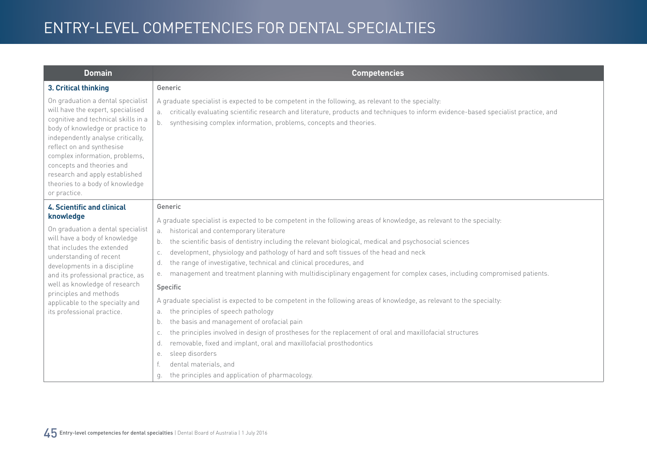| <b>Domain</b>                                                                                                                                                                                                                                                                                                                                                                  | <b>Competencies</b>                                                                                                                                                                                                                                                                                                                                                                                                                                                                                                            |
|--------------------------------------------------------------------------------------------------------------------------------------------------------------------------------------------------------------------------------------------------------------------------------------------------------------------------------------------------------------------------------|--------------------------------------------------------------------------------------------------------------------------------------------------------------------------------------------------------------------------------------------------------------------------------------------------------------------------------------------------------------------------------------------------------------------------------------------------------------------------------------------------------------------------------|
| 3. Critical thinking                                                                                                                                                                                                                                                                                                                                                           | Generic                                                                                                                                                                                                                                                                                                                                                                                                                                                                                                                        |
| On graduation a dental specialist<br>will have the expert, specialised<br>cognitive and technical skills in a<br>body of knowledge or practice to<br>independently analyse critically,<br>reflect on and synthesise<br>complex information, problems,<br>concepts and theories and<br>research and apply established<br>theories to a body of knowledge<br>or practice.        | A graduate specialist is expected to be competent in the following, as relevant to the specialty:<br>critically evaluating scientific research and literature, products and techniques to inform evidence-based specialist practice, and<br>a.<br>synthesising complex information, problems, concepts and theories.<br>b.                                                                                                                                                                                                     |
| <b>4. Scientific and clinical</b><br>knowledge<br>On graduation a dental specialist<br>will have a body of knowledge<br>that includes the extended<br>understanding of recent<br>developments in a discipline<br>and its professional practice, as<br>well as knowledge of research<br>principles and methods<br>applicable to the specialty and<br>its professional practice. | Generic<br>A graduate specialist is expected to be competent in the following areas of knowledge, as relevant to the specialty:<br>a. historical and contemporary literature                                                                                                                                                                                                                                                                                                                                                   |
|                                                                                                                                                                                                                                                                                                                                                                                | the scientific basis of dentistry including the relevant biological, medical and psychosocial sciences<br>b.<br>development, physiology and pathology of hard and soft tissues of the head and neck<br>C.<br>the range of investigative, technical and clinical procedures, and<br>d.<br>management and treatment planning with multidisciplinary engagement for complex cases, including compromised patients.<br>е.                                                                                                          |
|                                                                                                                                                                                                                                                                                                                                                                                | Specific                                                                                                                                                                                                                                                                                                                                                                                                                                                                                                                       |
|                                                                                                                                                                                                                                                                                                                                                                                | A graduate specialist is expected to be competent in the following areas of knowledge, as relevant to the specialty:<br>the principles of speech pathology<br>a.<br>the basis and management of orofacial pain<br>b.<br>the principles involved in design of prostheses for the replacement of oral and maxillofacial structures<br>C.<br>removable, fixed and implant, oral and maxillofacial prosthodontics<br>d.<br>sleep disorders<br>е.<br>dental materials, and<br>the principles and application of pharmacology.<br>q. |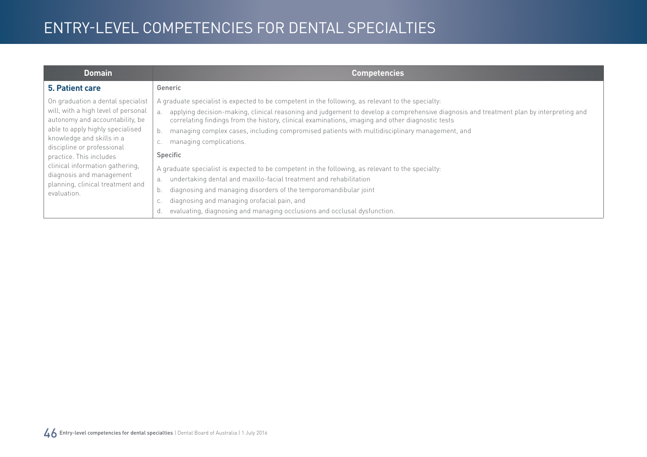| <b>Domain</b>                                                                                                                                                                                                                                                                                                                                           | <b>Competencies</b>                                                                                                                                                                                                                                                                                                                                                                                                                                                                                                                                                                                                                                                                                                                                                                                                                                                                                         |
|---------------------------------------------------------------------------------------------------------------------------------------------------------------------------------------------------------------------------------------------------------------------------------------------------------------------------------------------------------|-------------------------------------------------------------------------------------------------------------------------------------------------------------------------------------------------------------------------------------------------------------------------------------------------------------------------------------------------------------------------------------------------------------------------------------------------------------------------------------------------------------------------------------------------------------------------------------------------------------------------------------------------------------------------------------------------------------------------------------------------------------------------------------------------------------------------------------------------------------------------------------------------------------|
| 5. Patient care                                                                                                                                                                                                                                                                                                                                         | Generic                                                                                                                                                                                                                                                                                                                                                                                                                                                                                                                                                                                                                                                                                                                                                                                                                                                                                                     |
| On graduation a dental specialist<br>will, with a high level of personal<br>autonomy and accountability, be<br>able to apply highly specialised<br>knowledge and skills in a<br>discipline or professional<br>practice. This includes<br>clinical information gathering,<br>diagnosis and management<br>planning, clinical treatment and<br>evaluation. | A graduate specialist is expected to be competent in the following, as relevant to the specialty:<br>applying decision-making, clinical reasoning and judgement to develop a comprehensive diagnosis and treatment plan by interpreting and<br>a.<br>correlating findings from the history, clinical examinations, imaging and other diagnostic tests<br>managing complex cases, including compromised patients with multidisciplinary management, and<br>b.<br>managing complications.<br>С.<br>Specific<br>A graduate specialist is expected to be competent in the following, as relevant to the specialty:<br>undertaking dental and maxillo-facial treatment and rehabilitation<br>a.<br>diagnosing and managing disorders of the temporomandibular joint<br>b.<br>diagnosing and managing orofacial pain, and<br>С.<br>evaluating, diagnosing and managing occlusions and occlusal dysfunction.<br>d. |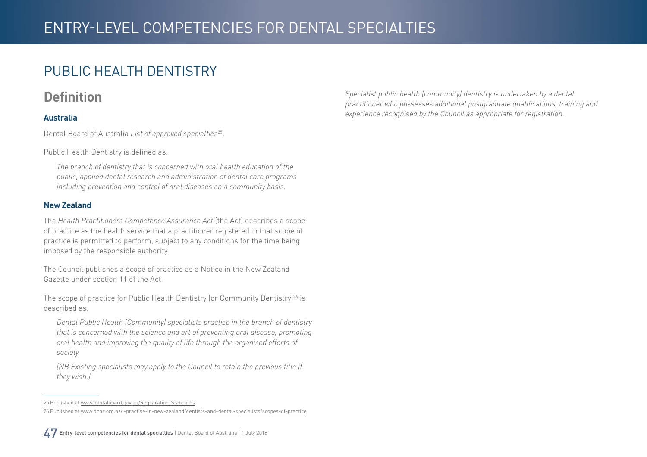### <span id="page-46-0"></span>PUBLIC HEALTH DENTISTRY

#### **Definition**

#### **Australia**

Dental Board of Australia *List of approved specialties*25.

Public Health Dentistry is defined as:

*The branch of dentistry that is concerned with oral health education of the public, applied dental research and administration of dental care programs including prevention and control of oral diseases on a community basis.*

#### **New Zealand**

The *Health Practitioners Competence Assurance Act* (the Act) describes a scope of practice as the health service that a practitioner registered in that scope of practice is permitted to perform, subject to any conditions for the time being imposed by the responsible authority.

The Council publishes a scope of practice as a Notice in the New Zealand Gazette under section 11 of the Act.

The scope of practice for Public Health Dentistry (or Community Dentistry)<sup>26</sup> is described as:

*Dental Public Health (Community) specialists practise in the branch of dentistry that is concerned with the science and art of preventing oral disease, promoting oral health and improving the quality of life through the organised efforts of society.*

*(NB Existing specialists may apply to the Council to retain the previous title if they wish.)*

*Specialist public health (community) dentistry is undertaken by a dental practitioner who possesses additional postgraduate qualifications, training and experience recognised by the Council as appropriate for registration.*

<sup>25</sup> Published at [www.dentalboard.gov.au/Registration-Standards](http://www.dentalboard.gov.au/Registration-Standards.aspx) 26 Published at [www.dcnz.org.nz/i-practise-in-new-zealand/dentists-and-dental-specialists/scopes-of-practice](http://www.dcnz.org.nz/i-practise-in-new-zealand/dentists-and-dental-specialists/scopes-of-practice)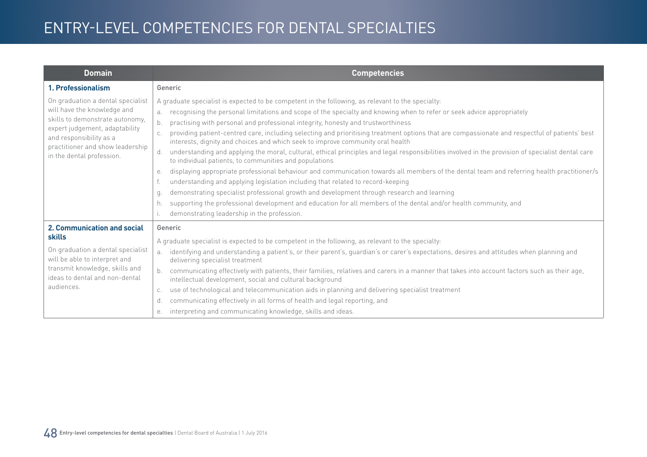| <b>Domain</b>                                                                                                                                                                                                                     | <b>Competencies</b>                                                                                                                                                                                                                                                                                                                                                                                                                                                                                                                                                                                                                                                                                                                                                                                                                                                                                                                                                                                                                                                                                                                                                                                                                                                                                |
|-----------------------------------------------------------------------------------------------------------------------------------------------------------------------------------------------------------------------------------|----------------------------------------------------------------------------------------------------------------------------------------------------------------------------------------------------------------------------------------------------------------------------------------------------------------------------------------------------------------------------------------------------------------------------------------------------------------------------------------------------------------------------------------------------------------------------------------------------------------------------------------------------------------------------------------------------------------------------------------------------------------------------------------------------------------------------------------------------------------------------------------------------------------------------------------------------------------------------------------------------------------------------------------------------------------------------------------------------------------------------------------------------------------------------------------------------------------------------------------------------------------------------------------------------|
| 1. Professionalism                                                                                                                                                                                                                | Generic                                                                                                                                                                                                                                                                                                                                                                                                                                                                                                                                                                                                                                                                                                                                                                                                                                                                                                                                                                                                                                                                                                                                                                                                                                                                                            |
| On graduation a dental specialist<br>will have the knowledge and<br>skills to demonstrate autonomy,<br>expert judgement, adaptability<br>and responsibility as a<br>practitioner and show leadership<br>in the dental profession. | A graduate specialist is expected to be competent in the following, as relevant to the specialty:<br>recognising the personal limitations and scope of the specialty and knowing when to refer or seek advice appropriately<br>b.<br>practising with personal and professional integrity, honesty and trustworthiness<br>providing patient-centred care, including selecting and prioritising treatment options that are compassionate and respectful of patients' best<br>interests, dignity and choices and which seek to improve community oral health<br>understanding and applying the moral, cultural, ethical principles and legal responsibilities involved in the provision of specialist dental care<br>d.<br>to individual patients, to communities and populations<br>displaying appropriate professional behaviour and communication towards all members of the dental team and referring health practitioner/s<br>е.<br>understanding and applying legislation including that related to record-keeping<br>demonstrating specialist professional growth and development through research and learning<br>q.<br>supporting the professional development and education for all members of the dental and/or health community, and<br>h.<br>demonstrating leadership in the profession. |
| 2. Communication and social<br>skills<br>On graduation a dental specialist<br>will be able to interpret and<br>transmit knowledge, skills and<br>ideas to dental and non-dental<br>audiences.                                     | Generic<br>A graduate specialist is expected to be competent in the following, as relevant to the specialty:<br>identifying and understanding a patient's, or their parent's, guardian's or carer's expectations, desires and attitudes when planning and<br>a <sub>z</sub><br>delivering specialist treatment<br>communicating effectively with patients, their families, relatives and carers in a manner that takes into account factors such as their age,<br>intellectual development, social and cultural background<br>use of technological and telecommunication aids in planning and delivering specialist treatment<br>C.<br>communicating effectively in all forms of health and legal reporting, and<br>d.<br>interpreting and communicating knowledge, skills and ideas.<br>е.                                                                                                                                                                                                                                                                                                                                                                                                                                                                                                        |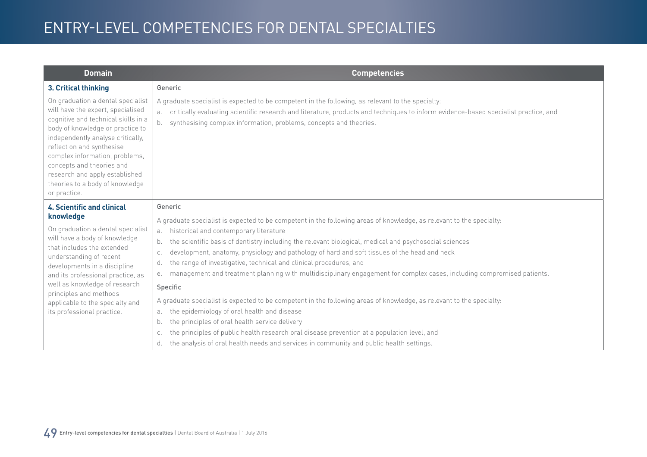| <b>Domain</b>                                                                                                                                                                                                                                                                                                                                                                  | Competencies                                                                                                                                                                                                                                                                                                                                                                                                                                                                                                                                                                                                                                                                                                                                                                                                                                                                                                                                                            |
|--------------------------------------------------------------------------------------------------------------------------------------------------------------------------------------------------------------------------------------------------------------------------------------------------------------------------------------------------------------------------------|-------------------------------------------------------------------------------------------------------------------------------------------------------------------------------------------------------------------------------------------------------------------------------------------------------------------------------------------------------------------------------------------------------------------------------------------------------------------------------------------------------------------------------------------------------------------------------------------------------------------------------------------------------------------------------------------------------------------------------------------------------------------------------------------------------------------------------------------------------------------------------------------------------------------------------------------------------------------------|
| 3. Critical thinking                                                                                                                                                                                                                                                                                                                                                           | Generic                                                                                                                                                                                                                                                                                                                                                                                                                                                                                                                                                                                                                                                                                                                                                                                                                                                                                                                                                                 |
| On graduation a dental specialist<br>will have the expert, specialised<br>cognitive and technical skills in a<br>body of knowledge or practice to<br>independently analyse critically,<br>reflect on and synthesise<br>complex information, problems,<br>concepts and theories and<br>research and apply established<br>theories to a body of knowledge<br>or practice.        | A graduate specialist is expected to be competent in the following, as relevant to the specialty:<br>critically evaluating scientific research and literature, products and techniques to inform evidence-based specialist practice, and<br>a.<br>synthesising complex information, problems, concepts and theories.<br>b.                                                                                                                                                                                                                                                                                                                                                                                                                                                                                                                                                                                                                                              |
| <b>4. Scientific and clinical</b><br>knowledge<br>On graduation a dental specialist<br>will have a body of knowledge<br>that includes the extended<br>understanding of recent<br>developments in a discipline<br>and its professional practice, as<br>well as knowledge of research<br>principles and methods<br>applicable to the specialty and<br>its professional practice. | Generic<br>A graduate specialist is expected to be competent in the following areas of knowledge, as relevant to the specialty:<br>historical and contemporary literature<br>a.<br>the scientific basis of dentistry including the relevant biological, medical and psychosocial sciences<br>b.<br>development, anatomy, physiology and pathology of hard and soft tissues of the head and neck<br>C.<br>the range of investigative, technical and clinical procedures, and<br>d.<br>management and treatment planning with multidisciplinary engagement for complex cases, including compromised patients.<br>е.<br>Specific<br>A graduate specialist is expected to be competent in the following areas of knowledge, as relevant to the specialty:<br>the epidemiology of oral health and disease<br>a.<br>the principles of oral health service delivery<br>b.<br>the principles of public health research oral disease prevention at a population level, and<br>C. |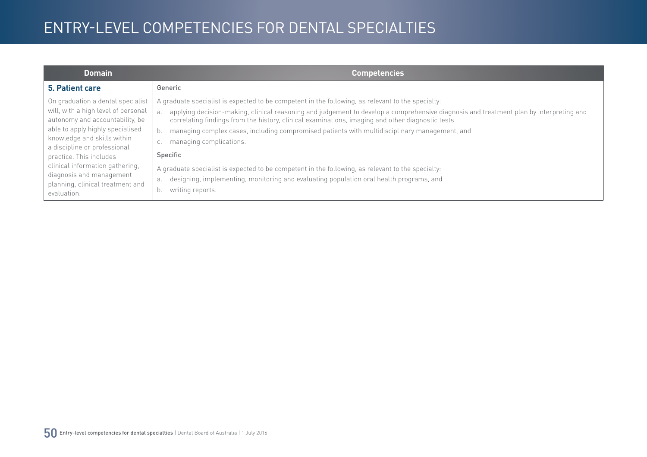| <b>Domain</b>                                                                                                                                                                                                                                                                                                                                               | <b>Competencies</b>                                                                                                                                                                                                                                                                                                                                                                                                                                                                                                                                                                                                                                                                                                           |
|-------------------------------------------------------------------------------------------------------------------------------------------------------------------------------------------------------------------------------------------------------------------------------------------------------------------------------------------------------------|-------------------------------------------------------------------------------------------------------------------------------------------------------------------------------------------------------------------------------------------------------------------------------------------------------------------------------------------------------------------------------------------------------------------------------------------------------------------------------------------------------------------------------------------------------------------------------------------------------------------------------------------------------------------------------------------------------------------------------|
| 5. Patient care                                                                                                                                                                                                                                                                                                                                             | Generic                                                                                                                                                                                                                                                                                                                                                                                                                                                                                                                                                                                                                                                                                                                       |
| On graduation a dental specialist<br>will, with a high level of personal<br>autonomy and accountability, be<br>able to apply highly specialised<br>knowledge and skills within<br>a discipline or professional<br>practice. This includes<br>clinical information gathering,<br>diagnosis and management<br>planning, clinical treatment and<br>evaluation. | A graduate specialist is expected to be competent in the following, as relevant to the specialty:<br>applying decision-making, clinical reasoning and judgement to develop a comprehensive diagnosis and treatment plan by interpreting and<br>correlating findings from the history, clinical examinations, imaging and other diagnostic tests<br>managing complex cases, including compromised patients with multidisciplinary management, and<br>managing complications.<br>U.<br>Specific<br>A graduate specialist is expected to be competent in the following, as relevant to the specialty:<br>designing, implementing, monitoring and evaluating population oral health programs, and<br>a.<br>writing reports.<br>b. |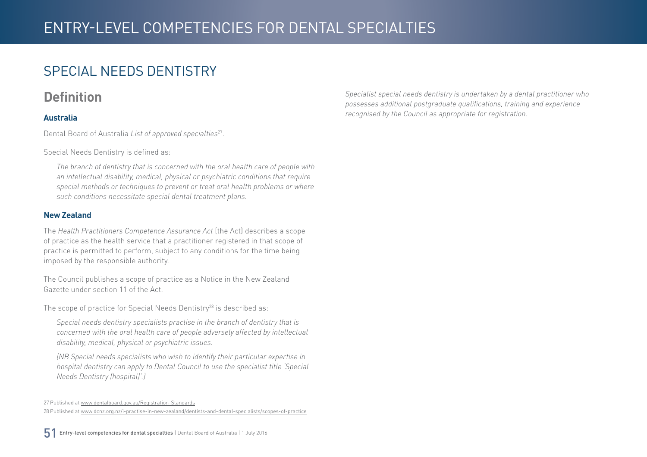### <span id="page-50-0"></span>SPECIAL NEEDS DENTISTRY

#### **Definition**

#### **Australia**

Dental Board of Australia *List of approved specialties*27.

Special Needs Dentistry is defined as:

*The branch of dentistry that is concerned with the oral health care of people with an intellectual disability, medical, physical or psychiatric conditions that require special methods or techniques to prevent or treat oral health problems or where such conditions necessitate special dental treatment plans.*

#### **New Zealand**

The *Health Practitioners Competence Assurance Act* (the Act) describes a scope of practice as the health service that a practitioner registered in that scope of practice is permitted to perform, subject to any conditions for the time being imposed by the responsible authority.

The Council publishes a scope of practice as a Notice in the New Zealand Gazette under section 11 of the Act.

The scope of practice for Special Needs Dentistry<sup>28</sup> is described as:

*Special needs dentistry specialists practise in the branch of dentistry that is concerned with the oral health care of people adversely affected by intellectual disability, medical, physical or psychiatric issues.* 

*(NB Special needs specialists who wish to identify their particular expertise in hospital dentistry can apply to Dental Council to use the specialist title 'Special Needs Dentistry (hospital)'.)*

*Specialist special needs dentistry is undertaken by a dental practitioner who possesses additional postgraduate qualifications, training and experience recognised by the Council as appropriate for registration.*

<sup>27</sup> Published at [www.dentalboard.gov.au/Registration-Standards](http://www.dentalboard.gov.au/Registration-Standards.aspx) 28 Published at [www.dcnz.org.nz/i-practise-in-new-zealand/dentists-and-dental-specialists/scopes-of-practice](http://www.dcnz.org.nz/i-practise-in-new-zealand/dentists-and-dental-specialists/scopes-of-practice)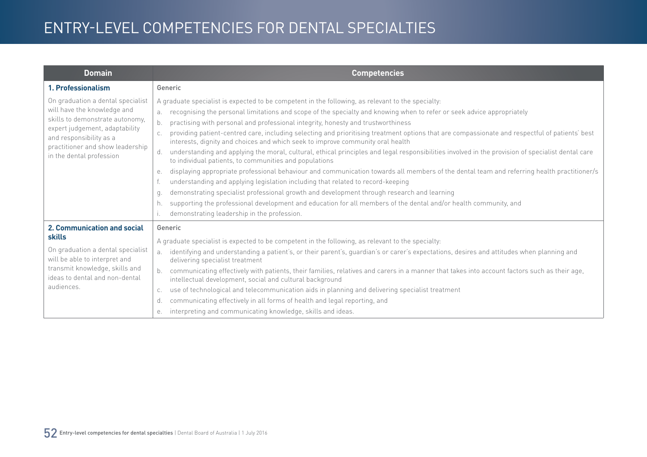| <b>Domain</b>                                                                                                                                                                                                                    | <b>Competencies</b>                                                                                                                                                                                                                                                                                                                                                                                                                                                                                                                                                                                                                                                                                                                                                                                                                                                                                                                                                                                                                                                                                                                                                                                                                                                                                |
|----------------------------------------------------------------------------------------------------------------------------------------------------------------------------------------------------------------------------------|----------------------------------------------------------------------------------------------------------------------------------------------------------------------------------------------------------------------------------------------------------------------------------------------------------------------------------------------------------------------------------------------------------------------------------------------------------------------------------------------------------------------------------------------------------------------------------------------------------------------------------------------------------------------------------------------------------------------------------------------------------------------------------------------------------------------------------------------------------------------------------------------------------------------------------------------------------------------------------------------------------------------------------------------------------------------------------------------------------------------------------------------------------------------------------------------------------------------------------------------------------------------------------------------------|
| 1. Professionalism                                                                                                                                                                                                               | Generic                                                                                                                                                                                                                                                                                                                                                                                                                                                                                                                                                                                                                                                                                                                                                                                                                                                                                                                                                                                                                                                                                                                                                                                                                                                                                            |
| On graduation a dental specialist<br>will have the knowledge and<br>skills to demonstrate autonomy,<br>expert judgement, adaptability<br>and responsibility as a<br>practitioner and show leadership<br>in the dental profession | A graduate specialist is expected to be competent in the following, as relevant to the specialty:<br>recognising the personal limitations and scope of the specialty and knowing when to refer or seek advice appropriately<br>b.<br>practising with personal and professional integrity, honesty and trustworthiness<br>providing patient-centred care, including selecting and prioritising treatment options that are compassionate and respectful of patients' best<br>interests, dignity and choices and which seek to improve community oral health<br>understanding and applying the moral, cultural, ethical principles and legal responsibilities involved in the provision of specialist dental care<br>d.<br>to individual patients, to communities and populations<br>displaying appropriate professional behaviour and communication towards all members of the dental team and referring health practitioner/s<br>е.<br>understanding and applying legislation including that related to record-keeping<br>demonstrating specialist professional growth and development through research and learning<br>q.<br>supporting the professional development and education for all members of the dental and/or health community, and<br>h.<br>demonstrating leadership in the profession. |
| 2. Communication and social<br>skills<br>On graduation a dental specialist<br>will be able to interpret and<br>transmit knowledge, skills and<br>ideas to dental and non-dental<br>audiences.                                    | Generic<br>A graduate specialist is expected to be competent in the following, as relevant to the specialty:<br>identifying and understanding a patient's, or their parent's, guardian's or carer's expectations, desires and attitudes when planning and<br>a <sub>z</sub><br>delivering specialist treatment<br>communicating effectively with patients, their families, relatives and carers in a manner that takes into account factors such as their age,<br>intellectual development, social and cultural background<br>use of technological and telecommunication aids in planning and delivering specialist treatment<br>C.<br>communicating effectively in all forms of health and legal reporting, and<br>d.<br>interpreting and communicating knowledge, skills and ideas.<br>е.                                                                                                                                                                                                                                                                                                                                                                                                                                                                                                        |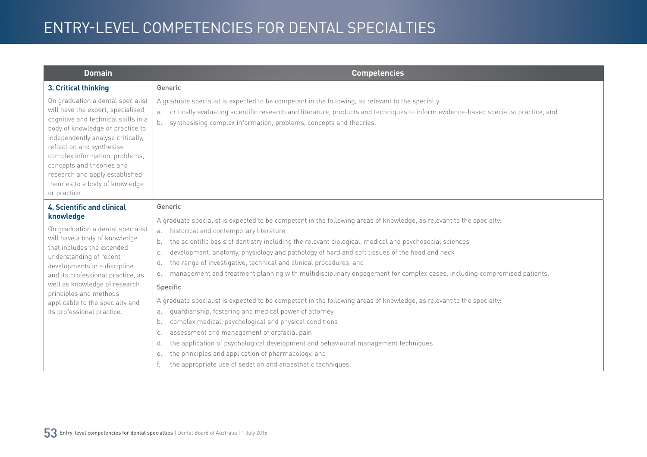| <b>Domain</b>                                                                                                                                                                                                                                                                                                                                                           | <b>Competencies</b>                                                                                                                                                                                                                                                                                                        |
|-------------------------------------------------------------------------------------------------------------------------------------------------------------------------------------------------------------------------------------------------------------------------------------------------------------------------------------------------------------------------|----------------------------------------------------------------------------------------------------------------------------------------------------------------------------------------------------------------------------------------------------------------------------------------------------------------------------|
| 3. Critical thinking                                                                                                                                                                                                                                                                                                                                                    | Generic                                                                                                                                                                                                                                                                                                                    |
| On graduation a dental specialist<br>will have the expert, specialised<br>cognitive and technical skills in a<br>body of knowledge or practice to<br>independently analyse critically,<br>reflect on and synthesise<br>complex information, problems,<br>concepts and theories and<br>research and apply established<br>theories to a body of knowledge<br>or practice. | A graduate specialist is expected to be competent in the following, as relevant to the specialty:<br>critically evaluating scientific research and literature, products and techniques to inform evidence-based specialist practice, and<br>а.<br>synthesising complex information, problems, concepts and theories.<br>b. |
| <b>4. Scientific and clinical</b><br>knowledge                                                                                                                                                                                                                                                                                                                          | Generic                                                                                                                                                                                                                                                                                                                    |
|                                                                                                                                                                                                                                                                                                                                                                         | A graduate specialist is expected to be competent in the following areas of knowledge, as relevant to the specialty:                                                                                                                                                                                                       |
| On graduation a dental specialist<br>will have a body of knowledge                                                                                                                                                                                                                                                                                                      | historical and contemporary literature<br>а.                                                                                                                                                                                                                                                                               |
| that includes the extended                                                                                                                                                                                                                                                                                                                                              | the scientific basis of dentistry including the relevant biological, medical and psychosocial sciences<br>$b$ .                                                                                                                                                                                                            |
| understanding of recent<br>developments in a discipline<br>and its professional practice, as<br>well as knowledge of research<br>principles and methods<br>applicable to the specialty and<br>its professional practice.                                                                                                                                                | development, anatomy, physiology and pathology of hard and soft tissues of the head and neck<br>C.<br>the range of investigative, technical and clinical procedures, and<br>d.                                                                                                                                             |
|                                                                                                                                                                                                                                                                                                                                                                         | management and treatment planning with multidisciplinary engagement for complex cases, including compromised patients.<br>е.                                                                                                                                                                                               |
|                                                                                                                                                                                                                                                                                                                                                                         | Specific                                                                                                                                                                                                                                                                                                                   |
|                                                                                                                                                                                                                                                                                                                                                                         | A graduate specialist is expected to be competent in the following areas of knowledge, as relevant to the specialty:                                                                                                                                                                                                       |
|                                                                                                                                                                                                                                                                                                                                                                         | guardianship, fostering and medical power of attorney<br>а.                                                                                                                                                                                                                                                                |
|                                                                                                                                                                                                                                                                                                                                                                         | complex medical, psychological and physical conditions<br>b.                                                                                                                                                                                                                                                               |
|                                                                                                                                                                                                                                                                                                                                                                         | assessment and management of orofacial pain<br>C.                                                                                                                                                                                                                                                                          |
|                                                                                                                                                                                                                                                                                                                                                                         | the application of psychological development and behavioural management techniques<br>d.                                                                                                                                                                                                                                   |
|                                                                                                                                                                                                                                                                                                                                                                         | the principles and application of pharmacology, and<br>е.                                                                                                                                                                                                                                                                  |
|                                                                                                                                                                                                                                                                                                                                                                         | the appropriate use of sedation and anaesthetic techniques.                                                                                                                                                                                                                                                                |